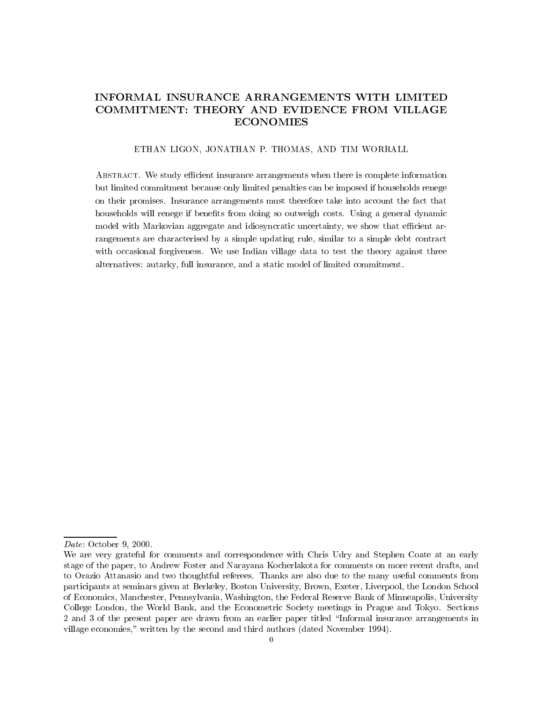# INFORMAL INSURANCE ARRANGEMENTS WITH LIMITED COMMITMENT: THEORY AND EVIDENCE FROM VILLAGE **ECONOMIES**

## ETHAN LIGON, JONATHAN P. THOMAS, AND TIM WORRALL

ABSTRACT. We study efficient insurance arrangements when there is complete information but limited commitment because only limited penalties can be imposed if households renege on their promises. Insurance arrangements must therefore take into account the fact that households will renege if benefits from doing so outweigh costs. Using a general dynamic model with Markovian aggregate and idiosyncratic uncertainty, we show that efficient arrangements are characterised by a simple updating rule, similar to a simple debt contract with occasional forgiveness. We use Indian village data to test the theory against three alternatives: autarky, full insurance, and a static model of limited commitment.

Date: October 9, 2000.

We are very grateful for comments and correspondence with Chris Udry and Stephen Coate at an early stage of the paper, to Andrew Foster and Narayana Kocherlakota for comments on more recent drafts, and to Orazio Attanasio and two thoughtful referees. Thanks are also due to the many useful comments from participants at seminars given at Berkeley, Boston University, Brown, Exeter, Liverpool, the London School of Economics, Manchester, Pennsylvania, Washington, the Federal Reserve Bank of Minneapolis, University College London, the World Bank, and the Econometric Society meetings in Prague and Tokyo. Sections 2 and 3 of the present paper are drawn from an earlier paper titled "Informal insurance arrangements in village economies," written by the second and third authors (dated November 1994).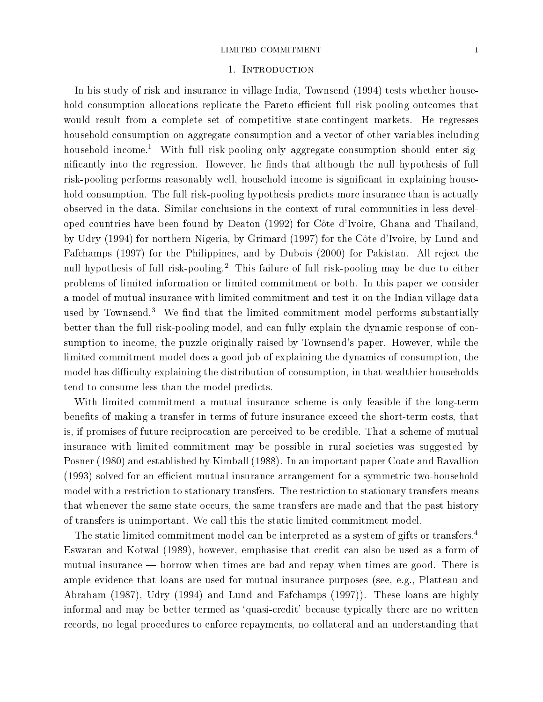## 1. INTRODUCTION

In his study of risk and insurance in village India, Townsend (1994) tests whether household consumption allocations replicate the Pareto-efficient full risk-pooling outcomes that would result from a complete set of competitive state-contingent markets. He regresses household consumption on aggregate consumption and a vector of other variables including household income.<sup>1</sup> With full risk-pooling only aggregate consumption should enter significantly into the regression. However, he finds that although the null hypothesis of full risk-pooling performs reasonably well, household income is significant in explaining household consumption. The full risk-pooling hypothesis predicts more insurance than is actually observed in the data. Similar conclusions in the context of rural communities in less developed countries have been found by Deaton (1992) for Côte d'Ivoire, Ghana and Thailand. by Udry (1994) for northern Nigeria, by Grimard (1997) for the Côte d'Ivoire, by Lund and Fafchamps (1997) for the Philippines, and by Dubois (2000) for Pakistan. All reject the null hypothesis of full risk-pooling.<sup>2</sup> This failure of full risk-pooling may be due to either problems of limited information or limited commitment or both. In this paper we consider a model of mutual insurance with limited commitment and test it on the Indian village data used by Townsend.<sup>3</sup> We find that the limited commitment model performs substantially better than the full risk-pooling model, and can fully explain the dynamic response of consumption to income, the puzzle originally raised by Townsend's paper. However, while the limited commitment model does a good job of explaining the dynamics of consumption, the model has difficulty explaining the distribution of consumption, in that wealthier households tend to consume less than the model predicts.

With limited commitment a mutual insurance scheme is only feasible if the long-term benefits of making a transfer in terms of future insurance exceed the short-term costs, that is, if promises of future reciprocation are perceived to be credible. That a scheme of mutual insurance with limited commitment may be possible in rural societies was suggested by Posner (1980) and established by Kimball (1988). In an important paper Coate and Ravallion (1993) solved for an efficient mutual insurance arrangement for a symmetric two-household model with a restriction to stationary transfers. The restriction to stationary transfers means that whenever the same state occurs, the same transfers are made and that the past history of transfers is unimportant. We call this the static limited commitment model.

The static limited commitment model can be interpreted as a system of gifts or transfers.<sup>4</sup> Eswaran and Kotwal (1989), however, emphasise that credit can also be used as a form of mutual insurance — borrow when times are bad and repay when times are good. There is ample evidence that loans are used for mutual insurance purposes (see, e.g., Platteau and Abraham (1987), Udry (1994) and Lund and Fafchamps (1997)). These loans are highly informal and may be better termed as 'quasi-credit' because typically there are no written records, no legal procedures to enforce repayments, no collateral and an understanding that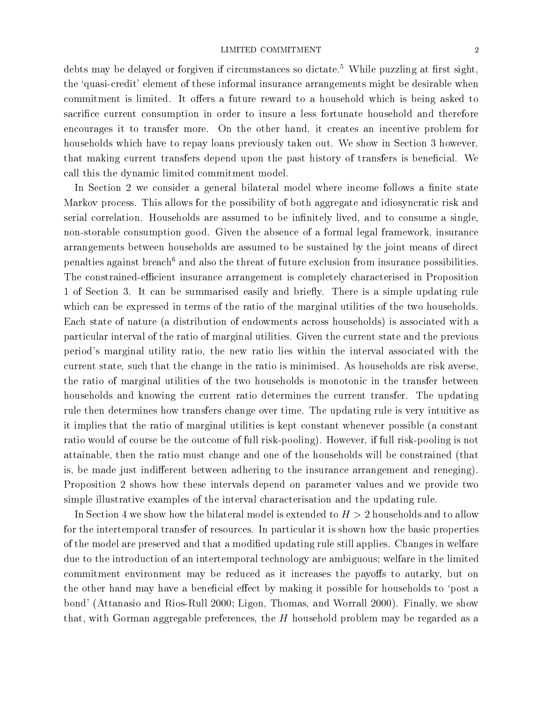$\sqrt{2}$ 

debts may be delayed or forgiven if circumstances so dictate.<sup>5</sup> While puzzling at first sight. the 'quasi-credit' element of these informal insurance arrangements might be desirable when commitment is limited. It offers a future reward to a household which is being asked to sacrifice current consumption in order to insure a less fortunate household and therefore encourages it to transfer more. On the other hand, it creates an incentive problem for households which have to repay loans previously taken out. We show in Section 3 however, that making current transfers depend upon the past history of transfers is beneficial. We call this the dynamic limited commitment model.

In Section 2 we consider a general bilateral model where income follows a finite state Markov process. This allows for the possibility of both aggregate and idiosyncratic risk and serial correlation. Households are assumed to be infinitely lived, and to consume a single. non-storable consumption good. Given the absence of a formal legal framework, insurance arrangements between households are assumed to be sustained by the joint means of direct penalties against breach<sup>6</sup> and also the threat of future exclusion from insurance possibilities. The constrained-efficient insurance arrangement is completely characterised in Proposition 1 of Section 3. It can be summarised easily and briefly. There is a simple updating rule which can be expressed in terms of the ratio of the marginal utilities of the two households. Each state of nature (a distribution of endowments across households) is associated with a particular interval of the ratio of marginal utilities. Given the current state and the previous period's marginal utility ratio, the new ratio lies within the interval associated with the current state, such that the change in the ratio is minimised. As households are risk averse. the ratio of marginal utilities of the two households is monotonic in the transfer between households and knowing the current ratio determines the current transfer. The updating rule then determines how transfers change over time. The updating rule is very intuitive as it implies that the ratio of marginal utilities is kept constant whenever possible (a constant ratio would of course be the outcome of full risk-pooling). However, if full risk-pooling is not attainable, then the ratio must change and one of the households will be constrained (that is, be made just indifferent between adhering to the insurance arrangement and reneging). Proposition 2 shows how these intervals depend on parameter values and we provide two simple illustrative examples of the interval characterisation and the updating rule.

In Section 4 we show how the bilateral model is extended to  $H > 2$  households and to allow for the intertemporal transfer of resources. In particular it is shown how the basic properties of the model are preserved and that a modified updating rule still applies. Changes in welfare due to the introduction of an intertemporal technology are ambiguous; welfare in the limited commitment environment may be reduced as it increases the payoffs to autarky, but on the other hand may have a beneficial effect by making it possible for households to 'post a bond' (Attanasio and Rios-Rull 2000; Ligon, Thomas, and Worrall 2000). Finally, we show that, with Gorman aggregable preferences, the  $H$  household problem may be regarded as a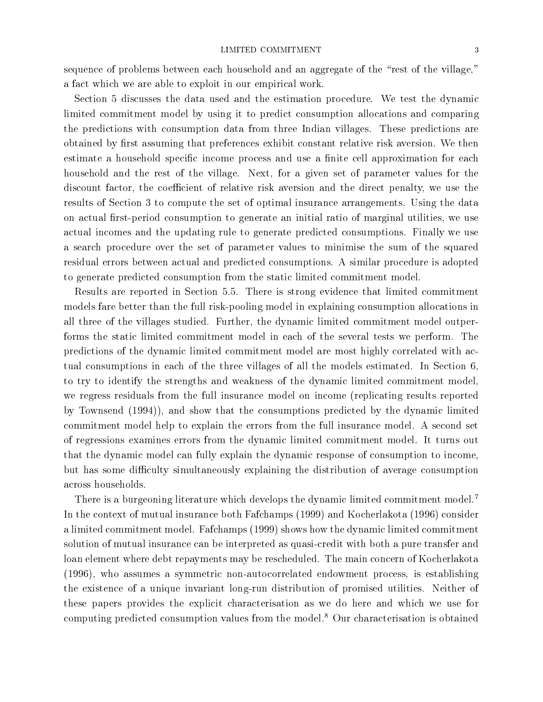3

sequence of problems between each household and an aggregate of the "rest of the village," a fact which we are able to exploit in our empirical work.

Section 5 discusses the data used and the estimation procedure. We test the dynamic limited commitment model by using it to predict consumption allocations and comparing the predictions with consumption data from three Indian villages. These predictions are obtained by first assuming that preferences exhibit constant relative risk aversion. We then estimate a household specific income process and use a finite cell approximation for each household and the rest of the village. Next, for a given set of parameter values for the discount factor, the coefficient of relative risk aversion and the direct penalty, we use the results of Section 3 to compute the set of optimal insurance arrangements. Using the data on actual first-period consumption to generate an initial ratio of marginal utilities, we use actual incomes and the updating rule to generate predicted consumptions. Finally we use a search procedure over the set of parameter values to minimise the sum of the squared residual errors between actual and predicted consumptions. A similar procedure is adopted to generate predicted consumption from the static limited commitment model.

Results are reported in Section 5.5. There is strong evidence that limited commitment models fare better than the full risk-pooling model in explaining consumption allocations in all three of the villages studied. Further, the dynamic limited commitment model outperforms the static limited commitment model in each of the several tests we perform. The predictions of the dynamic limited commitment model are most highly correlated with actual consumptions in each of the three villages of all the models estimated. In Section 6, to try to identify the strengths and weakness of the dynamic limited commitment model. we regress residuals from the full insurance model on income (replicating results reported by Townsend (1994), and show that the consumptions predicted by the dynamic limited commitment model help to explain the errors from the full insurance model. A second set of regressions examines errors from the dynamic limited commitment model. It turns out that the dynamic model can fully explain the dynamic response of consumption to income, but has some difficulty simultaneously explaining the distribution of average consumption across households.

There is a burgeoning literature which develops the dynamic limited commitment model.<sup>7</sup> In the context of mutual insurance both Fafchamps (1999) and Kocherlakota (1996) consider a limited commitment model. Fafchamps (1999) shows how the dynamic limited commitment solution of mutual insurance can be interpreted as quasi-credit with both a pure transfer and loan element where debt repayments may be rescheduled. The main concern of Kocherlakota (1996), who assumes a symmetric non-autocorrelated endowment process, is establishing the existence of a unique invariant long-run distribution of promised utilities. Neither of these papers provides the explicit characterisation as we do here and which we use for computing predicted consumption values from the model.<sup>8</sup> Our characterisation is obtained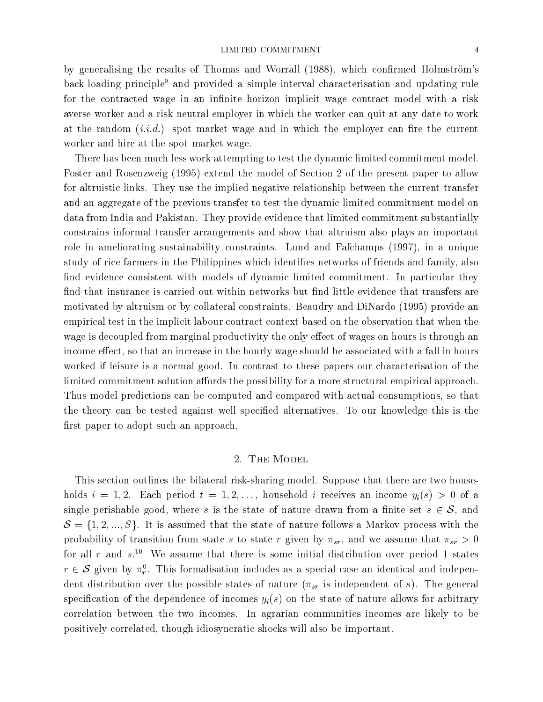by generalising the results of Thomas and Worrall (1988), which confirmed Holmström's back-loading principle<sup>9</sup> and provided a simple interval characterisation and updating rule for the contracted wage in an infinite horizon implicit wage contract model with a risk averse worker and a risk neutral employer in which the worker can quit at any date to work at the random  $(i.i.d.)$  spot market wage and in which the employer can fire the current worker and hire at the spot market wage.

There has been much less work attempting to test the dynamic limited commitment model. Foster and Rosenzweig (1995) extend the model of Section 2 of the present paper to allow for altruistic links. They use the implied negative relationship between the current transfer and an aggregate of the previous transfer to test the dynamic limited commitment model on data from India and Pakistan. They provide evidence that limited commitment substantially constrains informal transfer arrangements and show that altruism also plays an important role in ameliorating sustainability constraints. Lund and Fafchamps (1997), in a unique study of rice farmers in the Philippines which identifies networks of friends and family, also find evidence consistent with models of dynamic limited commitment. In particular they find that insurance is carried out within networks but find little evidence that transfers are motivated by altruism or by collateral constraints. Beaudry and DiNardo (1995) provide an empirical test in the implicit labour contract context based on the observation that when the wage is decoupled from marginal productivity the only effect of wages on hours is through an income effect, so that an increase in the hourly wage should be associated with a fall in hours worked if leisure is a normal good. In contrast to these papers our characterisation of the limited commitment solution affords the possibility for a more structural empirical approach. Thus model predictions can be computed and compared with actual consumptions, so that the theory can be tested against well specified alternatives. To our knowledge this is the first paper to adopt such an approach.

## 2. THE MODEL

This section outlines the bilateral risk-sharing model. Suppose that there are two households  $i = 1, 2$ . Each period  $t = 1, 2, ...,$  household i receives an income  $y_i(s) > 0$  of a single perishable good, where s is the state of nature drawn from a finite set  $s \in S$ , and  $\mathcal{S} = \{1, 2, ..., S\}$ . It is assumed that the state of nature follows a Markov process with the probability of transition from state s to state r given by  $\pi_{sr}$ , and we assume that  $\pi_{sr} > 0$ for all  $r$  and  $s^{10}$ . We assume that there is some initial distribution over period 1 states  $r \in \mathcal{S}$  given by  $\pi_r^0$ . This formalisation includes as a special case an identical and independent distribution over the possible states of nature  $(\pi_{sr}$  is independent of s). The general specification of the dependence of incomes  $y_i(s)$  on the state of nature allows for arbitrary correlation between the two incomes. In agrarian communities incomes are likely to be positively correlated, though idiosyncratic shocks will also be important.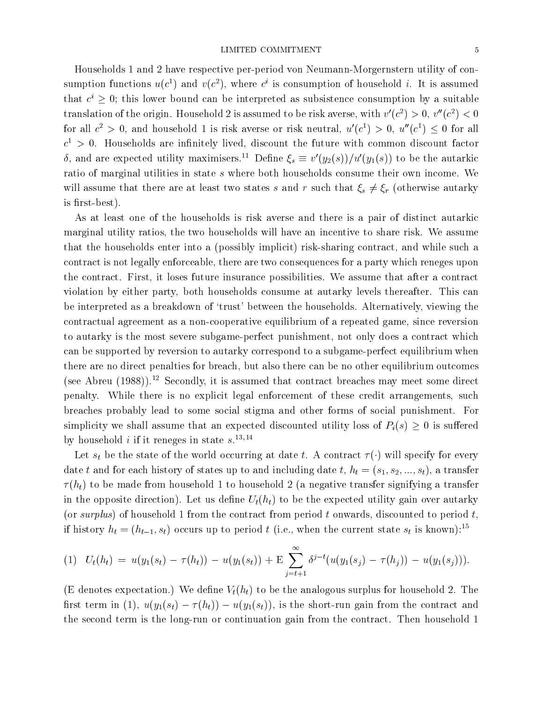Households 1 and 2 have respective per-period von Neumann-Morgernstern utility of consumption functions  $u(c^1)$  and  $v(c^2)$ , where c<sup>i</sup> is consumption of household *i*. It is assumed that  $c^i \geq 0$ ; this lower bound can be interpreted as subsistence consumption by a suitable translation of the origin. Household 2 is assumed to be risk averse, with  $v'(c^2) > 0$ ,  $v''(c^2) < 0$ for all  $c^2 > 0$ , and household 1 is risk averse or risk neutral,  $u'(c^1) > 0$ ,  $u''(c^1) \leq 0$  for all  $c<sup>1</sup> > 0$ . Households are infinitely lived, discount the future with common discount factor  $\delta$ , and are expected utility maximisers.<sup>11</sup> Define  $\xi_s \equiv v'(y_2(s))/u'(y_1(s))$  to be the autarkic ratio of marginal utilities in state s where both households consume their own income. We

As at least one of the households is risk averse and there is a pair of distinct autarkic marginal utility ratios, the two households will have an incentive to share risk. We assume that the households enter into a (possibly implicit) risk-sharing contract, and while such a contract is not legally enforceable, there are two consequences for a party which reneges upon the contract. First, it loses future insurance possibilities. We assume that after a contract violation by either party, both households consume at autarky levels thereafter. This can be interpreted as a breakdown of 'trust' between the households. Alternatively, viewing the contractual agreement as a non-cooperative equilibrium of a repeated game, since reversion to autarky is the most severe subgame-perfect punishment, not only does a contract which can be supported by reversion to autority correspond to a subgame-perfect equilibrium when there are no direct penalties for breach, but also there can be no other equilibrium outcomes (see Abreu (1988)).<sup>12</sup> Secondly, it is assumed that contract breaches may meet some direct penalty. While there is no explicit legal enforcement of these credit arrangements, such breaches probably lead to some social stigma and other forms of social punishment. For simplicity we shall assume that an expected discounted utility loss of  $P_i(s) \geq 0$  is suffered by household *i* if it reneges in state  $s^{13,14}$ 

will assume that there are at least two states s and r such that  $\xi_s \neq \xi_r$  (otherwise autorky

is first-best).

Let  $s_t$  be the state of the world occurring at date t. A contract  $\tau(\cdot)$  will specify for every date t and for each history of states up to and including date t,  $h_t = (s_1, s_2, ..., s_t)$ , a transfer  $\tau(h_t)$  to be made from household 1 to household 2 (a negative transfer signifying a transfer in the opposite direction). Let us define  $U_t(h_t)$  to be the expected utility gain over autarky (or surplus) of household 1 from the contract from period t onwards, discounted to period t, if history  $h_t = (h_{t-1}, s_t)$  occurs up to period t (i.e., when the current state  $s_t$  is known):<sup>15</sup>

$$
(1) \quad U_t(h_t) = u(y_1(s_t) - \tau(h_t)) - u(y_1(s_t)) + \mathbb{E} \sum_{j=t+1}^{\infty} \delta^{j-t}(u(y_1(s_j) - \tau(h_j)) - u(y_1(s_j))).
$$

(E denotes expectation.) We define  $V_t(h_t)$  to be the analogous surplus for household 2. The first term in (1),  $u(y_1(s_t) - \tau(h_t)) - u(y_1(s_t))$ , is the short-run gain from the contract and the second term is the long-run or continuation gain from the contract. Then household 1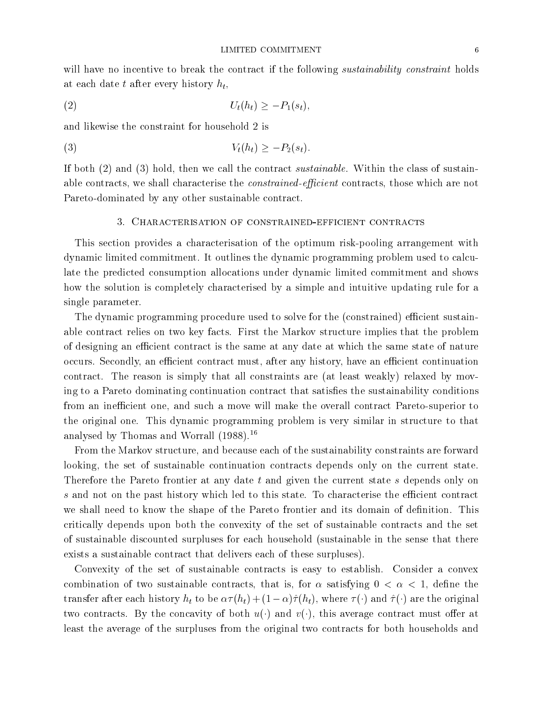will have no incentive to break the contract if the following *sustainability constraint* holds at each date t after every history  $h_t$ ,

$$
(2) \t\t\t U_t(h_t) \ge -P_1(s_t)
$$

and likewise the constraint for household 2 is

$$
(3) \t\t V_t(h_t) \geq -P_2(s_t).
$$

If both  $(2)$  and  $(3)$  hold, then we call the contract *sustainable*. Within the class of sustainable contracts, we shall characterise the *constrained-efficient* contracts, those which are not Pareto-dominated by any other sustainable contract.

## 3. CHARACTERISATION OF CONSTRAINED-EFFICIENT CONTRACTS

This section provides a characterisation of the optimum risk-pooling arrangement with dynamic limited commitment. It outlines the dynamic programming problem used to calculate the predicted consumption allocations under dynamic limited commitment and shows how the solution is completely characterised by a simple and intuitive updating rule for a single parameter.

The dynamic programming procedure used to solve for the (constrained) efficient sustainable contract relies on two key facts. First the Markov structure implies that the problem of designing an efficient contract is the same at any date at which the same state of nature occurs. Secondly, an efficient contract must, after any history, have an efficient continuation contract. The reason is simply that all constraints are (at least weakly) relaxed by moving to a Pareto dominating continuation contract that satisfies the sustainability conditions from an inefficient one, and such a move will make the overall contract Pareto-superior to the original one. This dynamic programming problem is very similar in structure to that analysed by Thomas and Worrall (1988).<sup>16</sup>

From the Markov structure, and because each of the sustainability constraints are forward looking, the set of sustainable continuation contracts depends only on the current state. Therefore the Pareto frontier at any date t and given the current state s depends only on s and not on the past history which led to this state. To characterise the efficient contract we shall need to know the shape of the Pareto frontier and its domain of definition. This critically depends upon both the convexity of the set of sustainable contracts and the set of sustainable discounted surpluses for each household (sustainable in the sense that there exists a sustainable contract that delivers each of these surpluses).

Convexity of the set of sustainable contracts is easy to establish. Consider a convex combination of two sustainable contracts, that is, for  $\alpha$  satisfying  $0 < \alpha < 1$ , define the transfer after each history  $h_t$  to be  $\alpha\tau(h_t) + (1-\alpha)\hat{\tau}(h_t)$ , where  $\tau(\cdot)$  and  $\hat{\tau}(\cdot)$  are the original two contracts. By the concavity of both  $u(\cdot)$  and  $v(\cdot)$ , this average contract must offer at least the average of the surpluses from the original two contracts for both households and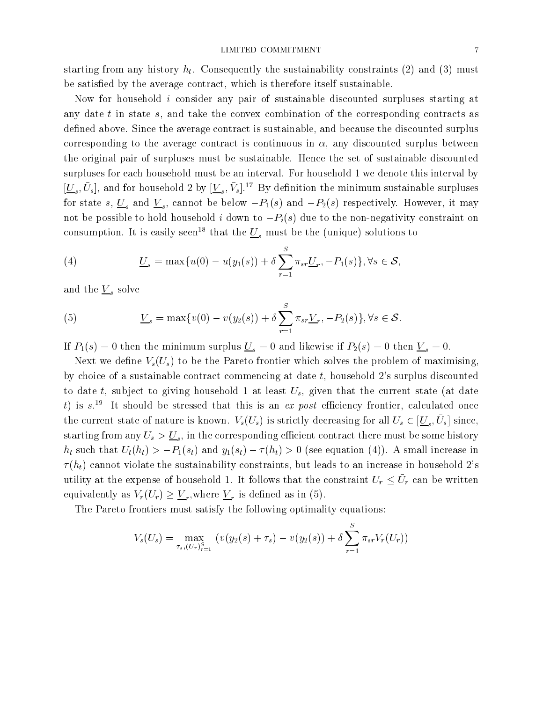starting from any history  $h_t$ . Consequently the sustainability constraints (2) and (3) must be satisfied by the average contract, which is therefore itself sustainable.

Now for household *i* consider any pair of sustainable discounted surpluses starting at any date  $t$  in state  $s$ , and take the convex combination of the corresponding contracts as defined above. Since the average contract is sustainable, and because the discounted surplus corresponding to the average contract is continuous in  $\alpha$ , any discounted surplus between the original pair of surpluses must be sustainable. Hence the set of sustainable discounted surpluses for each household must be an interval. For household 1 we denote this interval by  $[\underline{U}_s, \overline{U}_s]$ , and for household 2 by  $[\underline{V}_s, \overline{V}_s]$ .<sup>17</sup> By definition the minimum sustainable surpluses for state s,  $\underline{U}_s$  and  $\underline{V}_s$ , cannot be below  $-P_1(s)$  and  $-P_2(s)$  respectively. However, it may not be possible to hold household i down to  $-P_i(s)$  due to the non-negativity constraint on consumption. It is easily seen<sup>18</sup> that the  $\underline{U}_s$  must be the (unique) solutions to

(4) 
$$
\underline{U}_s = \max\{u(0) - u(y_1(s)) + \delta \sum_{r=1}^S \pi_{sr} \underline{U}_r, -P_1(s)\}, \forall s \in S,
$$

and the  $\underline{V}_s$  solve

(5) 
$$
\underline{V}_s = \max \{ v(0) - v(y_2(s)) + \delta \sum_{r=1}^S \pi_{sr} \underline{V}_r, -P_2(s) \}, \forall s \in \mathcal{S}
$$

If  $P_1(s) = 0$  then the minimum surplus  $U_s = 0$  and likewise if  $P_2(s) = 0$  then  $V_s = 0$ .

Next we define  $V_s(U_s)$  to be the Pareto frontier which solves the problem of maximising by choice of a sustainable contract commencing at date t, household 2's surplus discounted to date t, subject to giving household 1 at least  $U_s$ , given that the current state (at date t) is  $s^{19}$ . It should be stressed that this is an ex post efficiency frontier, calculated once the current state of nature is known.  $V_s(U_s)$  is strictly decreasing for all  $U_s \in [\underline{U}_s, \overline{U}_s]$  since, starting from any  $U_s > U_s$ , in the corresponding efficient contract there must be some history  $h_t$  such that  $U_t(h_t) > -P_1(s_t)$  and  $y_1(s_t) - \tau(h_t) > 0$  (see equation (4)). A small increase in  $\tau(h_t)$  cannot violate the sustainability constraints, but leads to an increase in household 2's utility at the expense of household 1. It follows that the constraint  $U_r \leq U_r$  can be written equivalently as  $V_r(U_r) \geq \underline{V}_r$ , where  $\underline{V}_r$  is defined as in (5).

The Pareto frontiers must satisfy the following optimality equations:

$$
V_s(U_s) = \max_{\tau_s, (U_r)_{r=1}^S} \left( v(y_2(s) + \tau_s) - v(y_2(s)) + \delta \sum_{r=1}^S \pi_{sr} V_r(U_r) \right)
$$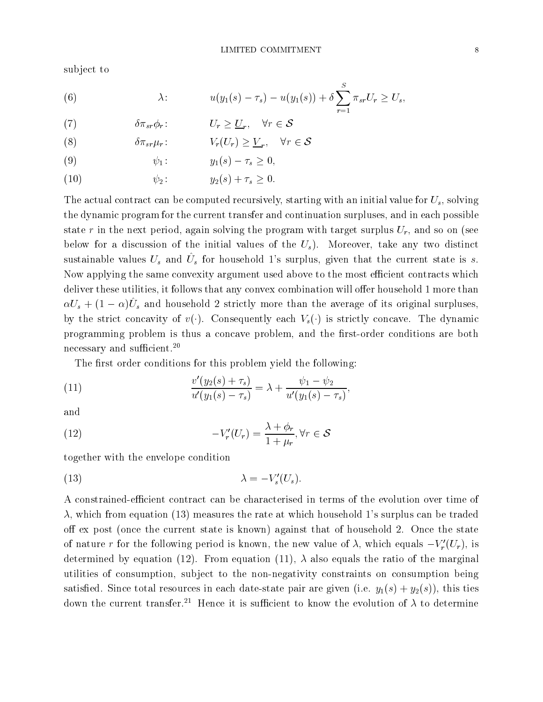subject to

(6) 
$$
\lambda: \qquad u(y_1(s) - \tau_s) - u(y_1(s)) + \delta \sum_{r=1}^S \pi_{sr} U_r \geq U_s,
$$

(7) 
$$
\delta \pi_{sr} \phi_r: U_r \geq \underline{U}_r, \quad \forall r \in \mathcal{S}
$$

(8) 
$$
\delta \pi_{sr} \mu_r: V_r(U_r) \geq \underline{V}_r, \quad \forall r \in \mathcal{S}
$$

$$
(9) \qquad \psi_1: \qquad \qquad y_1(s) - \tau_s \ge 0
$$

$$
(10) \qquad \qquad \psi_2: \qquad \qquad y_2(s) + \tau_s \ge 0.
$$

The actual contract can be computed recursively, starting with an initial value for  $U_s$ , solving the dynamic program for the current transfer and continuation surpluses, and in each possible state r in the next period, again solving the program with target surplus  $U_r$ , and so on (see below for a discussion of the initial values of the  $U_s$ ). Moreover, take any two distinct sustainable values  $U_s$  and  $\hat{U}_s$  for household 1's surplus, given that the current state is s. Now applying the same convexity argument used above to the most efficient contracts which deliver these utilities, it follows that any convex combination will offer household 1 more than  $\alpha U_s + (1-\alpha)\hat{U}_s$  and household 2 strictly more than the average of its original surpluses, by the strict concavity of  $v(\cdot)$ . Consequently each  $V_s(\cdot)$  is strictly concave. The dynamic programming problem is thus a concave problem, and the first-order conditions are both necessary and sufficient.<sup>20</sup>

The first order conditions for this problem yield the following:

(11) 
$$
\frac{v'(y_2(s) + \tau_s)}{u'(y_1(s) - \tau_s)} = \lambda + \frac{\psi_1 - \psi_2}{u'(y_1(s) - \tau_s)},
$$

and

(12) 
$$
-V'_{r}(U_{r}) = \frac{\lambda + \phi_{r}}{1 + \mu_{r}}, \forall r \in S
$$

together with the envelope condition

$$
\lambda = -V_s'(U_s).
$$

A constrained-efficient contract can be characterised in terms of the evolution over time of  $\lambda$ , which from equation (13) measures the rate at which household 1's surplus can be traded off ex post (once the current state is known) against that of household 2. Once the state of nature r for the following period is known, the new value of  $\lambda$ , which equals  $-V_r'(U_r)$ , is determined by equation (12). From equation (11),  $\lambda$  also equals the ratio of the marginal utilities of consumption, subject to the non-negativity constraints on consumption being satisfied. Since total resources in each date-state pair are given (i.e.  $y_1(s) + y_2(s)$ ), this ties down the current transfer.<sup>21</sup> Hence it is sufficient to know the evolution of  $\lambda$  to determine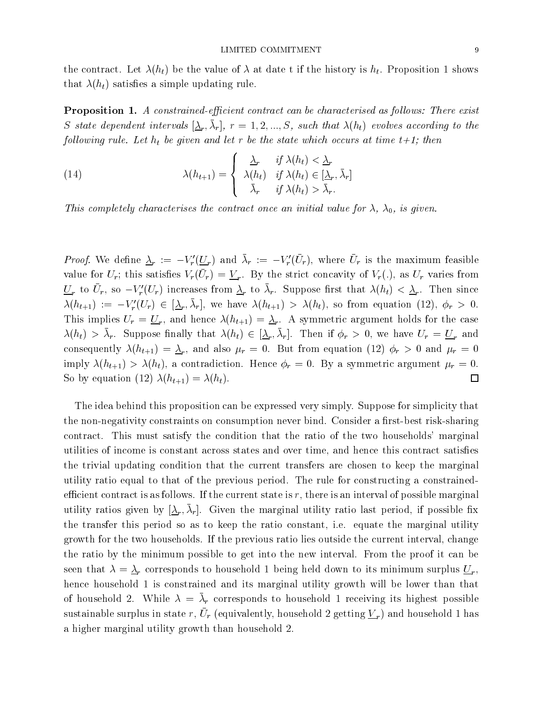$\overline{9}$ 

the contract. Let  $\lambda(h_t)$  be the value of  $\lambda$  at date t if the history is  $h_t$ . Proposition 1 shows that  $\lambda(h_t)$  satisfies a simple updating rule.

**Proposition 1.** A constrained-efficient contract can be characterised as follows: There exist S state dependent intervals  $[\underline{\lambda}_r, \overline{\lambda}_r]$ ,  $r = 1, 2, ..., S$ , such that  $\lambda(h_t)$  evolves according to the following rule. Let  $h_t$  be given and let r be the state which occurs at time  $t+1$ ; then

(14) 
$$
\lambda(h_{t+1}) = \begin{cases} \frac{\lambda_r}{\lambda(h_t)} & \text{if } \lambda(h_t) < \frac{\lambda_r}{\lambda_r} \\ \frac{\lambda(h_t)}{\lambda_r} & \text{if } \lambda(h_t) \in [\frac{\lambda_r}{\lambda_r}, \bar{\lambda}_r] \end{cases}
$$

This completely characterises the contract once an initial value for  $\lambda$ ,  $\lambda_0$ , is given.

*Proof.* We define  $\underline{\lambda}_r := -V'_r(\underline{U}_r)$  and  $\overline{\lambda}_r := -V'_r(\overline{U}_r)$ , where  $\overline{U}_r$  is the maximum feasible value for  $U_r$ ; this satisfies  $V_r(\bar{U}_r) = V_r$ . By the strict concavity of  $V_r(.)$ , as  $U_r$  varies from  $\underline{U}_r$  to  $\overline{U}_r$ , so  $-V'_r(U_r)$  increases from  $\underline{\lambda}_r$  to  $\overline{\lambda}_r$ . Suppose first that  $\lambda(h_t) < \underline{\lambda}_r$ . Then since  $\lambda(h_{t+1}) := -V_r'(U_r) \in [\underline{\lambda}_r, \overline{\lambda}_r],$  we have  $\lambda(h_{t+1}) > \lambda(h_t)$ , so from equation (12),  $\phi_r > 0$ . This implies  $U_r = U_r$ , and hence  $\lambda(h_{t+1}) = \lambda_r$ . A symmetric argument holds for the case  $\lambda(h_t) > \bar{\lambda}_r$ . Suppose finally that  $\lambda(h_t) \in [\underline{\lambda}_r, \bar{\lambda}_r]$ . Then if  $\phi_r > 0$ , we have  $U_r = \underline{U}_r$  and consequently  $\lambda(h_{t+1}) = \lambda_r$ , and also  $\mu_r = 0$ . But from equation (12)  $\phi_r > 0$  and  $\mu_r = 0$ imply  $\lambda(h_{t+1}) > \lambda(h_t)$ , a contradiction. Hence  $\phi_r = 0$ . By a symmetric argument  $\mu_r = 0$ . So by equation (12)  $\lambda(h_{t+1}) = \lambda(h_t)$ .  $\Box$ 

The idea behind this proposition can be expressed very simply. Suppose for simplicity that the non-negativity constraints on consumption never bind. Consider a first-best risk-sharing contract. This must satisfy the condition that the ratio of the two households' marginal utilities of income is constant across states and over time, and hence this contract satisfies the trivial updating condition that the current transfers are chosen to keep the marginal utility ratio equal to that of the previous period. The rule for constructing a constrainedefficient contract is as follows. If the current state is  $r$ , there is an interval of possible marginal utility ratios given by  $[\lambda_r, \lambda_r]$ . Given the marginal utility ratio last period, if possible fix the transfer this period so as to keep the ratio constant, i.e. equate the marginal utility growth for the two households. If the previous ratio lies outside the current interval, change the ratio by the minimum possible to get into the new interval. From the proof it can be seen that  $\lambda = \lambda_r$  corresponds to household 1 being held down to its minimum surplus  $U_r$ . hence household 1 is constrained and its marginal utility growth will be lower than that of household 2. While  $\lambda = \bar{\lambda}_r$  corresponds to household 1 receiving its highest possible sustainable surplus in state r,  $\bar{U}_r$  (equivalently, household 2 getting  $\underline{V}_r$ ) and household 1 has a higher marginal utility growth than household 2.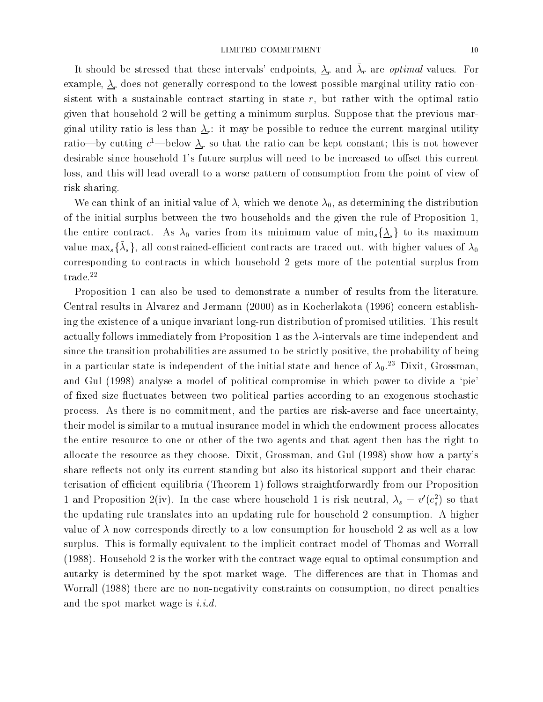It should be stressed that these intervals' endpoints,  $\lambda_r$  and  $\bar{\lambda}_r$  are *optimal* values. For example,  $\lambda_r$  does not generally correspond to the lowest possible marginal utility ratio consistent with a sustainable contract starting in state  $r$ , but rather with the optimal ratio given that household 2 will be getting a minimum surplus. Suppose that the previous marginal utility ratio is less than  $\lambda_r$ : it may be possible to reduce the current marginal utility ratio—by cutting  $c^1$ —below  $\lambda_r$  so that the ratio can be kept constant; this is not however desirable since household 1's future surplus will need to be increased to offset this current loss, and this will lead overall to a worse pattern of consumption from the point of view of risk sharing.

We can think of an initial value of  $\lambda$ , which we denote  $\lambda_0$ , as determining the distribution of the initial surplus between the two households and the given the rule of Proposition 1, the entire contract. As  $\lambda_0$  varies from its minimum value of min<sub>s</sub> $\{\lambda_s\}$  to its maximum value  $\max_s {\bar{\lambda}_s}$ , all constrained-efficient contracts are traced out, with higher values of  $\lambda_0$ corresponding to contracts in which household 2 gets more of the potential surplus from  $\mathrm{trade.}^{22}$ 

Proposition 1 can also be used to demonstrate a number of results from the literature. Central results in Alvarez and Jermann (2000) as in Kocherlakota (1996) concern establishing the existence of a unique invariant long-run distribution of promised utilities. This result actually follows immediately from Proposition 1 as the  $\lambda$ -intervals are time independent and since the transition probabilities are assumed to be strictly positive, the probability of being in a particular state is independent of the initial state and hence of  $\lambda_0$ .<sup>23</sup> Dixit, Grossman. and Gul (1998) analyse a model of political compromise in which power to divide a 'pie' of fixed size fluctuates between two political parties according to an exogenous stochastic process. As there is no commitment, and the parties are risk-averse and face uncertainty. their model is similar to a mutual insurance model in which the endowment process allocates the entire resource to one or other of the two agents and that agent then has the right to allocate the resource as they choose. Dixit, Grossman, and Gul (1998) show how a party's share reflects not only its current standing but also its historical support and their characterisation of efficient equilibria (Theorem 1) follows straightforwardly from our Proposition 1 and Proposition 2(iv). In the case where household 1 is risk neutral,  $\lambda_s = v'(c_s^2)$  so that the updating rule translates into an updating rule for household 2 consumption. A higher value of  $\lambda$  now corresponds directly to a low consumption for household 2 as well as a low surplus. This is formally equivalent to the implicit contract model of Thomas and Worrall (1988). Household 2 is the worker with the contract wage equal to optimal consumption and autarky is determined by the spot market wage. The differences are that in Thomas and Worrall (1988) there are no non-negativity constraints on consumption, no direct penalties and the spot market wage is  $i.i.d.$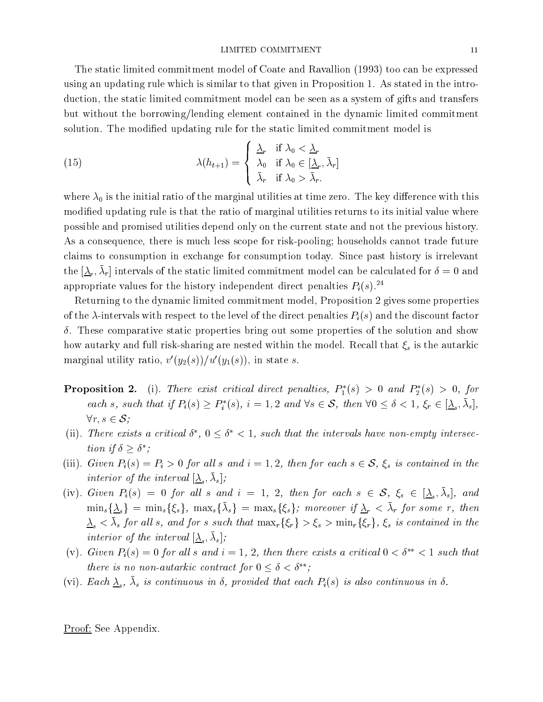The static limited commitment model of Coate and Ravallion (1993) too can be expressed using an updating rule which is similar to that given in Proposition 1. As stated in the introduction, the static limited commitment model can be seen as a system of gifts and transfers but without the borrowing/lending element contained in the dynamic limited commitment solution. The modified updating rule for the static limited commitment model is

(15) 
$$
\lambda(h_{t+1}) = \begin{cases} \frac{\lambda_r}{\lambda_0} & \text{if } \lambda_0 < \underline{\lambda}_r \\ \frac{\lambda_0}{\overline{\lambda}_r} & \text{if } \lambda_0 \in [\underline{\lambda}_r, \overline{\lambda}_r] \\ \overline{\lambda}_r & \text{if } \lambda_0 > \overline{\lambda}_r. \end{cases}
$$

where  $\lambda_0$  is the initial ratio of the marginal utilities at time zero. The key difference with this modified updating rule is that the ratio of marginal utilities returns to its initial value where possible and promised utilities depend only on the current state and not the previous history. As a consequence, there is much less scope for risk-pooling; households cannot trade future claims to consumption in exchange for consumption today. Since past history is irrelevant the  $[\underline{\lambda}_r, \overline{\lambda}_r]$  intervals of the static limited commitment model can be calculated for  $\delta = 0$  and appropriate values for the history independent direct penalties  $P_i(s)$ .<sup>24</sup>

Returning to the dynamic limited commitment model, Proposition 2 gives some properties of the  $\lambda$ -intervals with respect to the level of the direct penalties  $P_i(s)$  and the discount factor  $\delta$ . These comparative static properties bring out some properties of the solution and show how autarky and full risk-sharing are nested within the model. Recall that  $\xi_s$  is the autarkic marginal utility ratio,  $v'(y_2(s))/u'(y_1(s))$ , in state s.

- **Proposition 2.** (i). There exist critical direct penalties,  $P_1^*(s) > 0$  and  $P_2^*(s) > 0$ , for each s, such that if  $P_i(s) \ge P_i^*(s)$ ,  $i = 1, 2$  and  $\forall s \in S$ , then  $\forall 0 \le \delta < 1$ ,  $\xi_r \in [\underline{\lambda}_s, \overline{\lambda}_s]$ ,  $\forall r, s \in \mathcal{S};$
- (ii). There exists a critical  $\delta^*$ ,  $0 \leq \delta^*$  < 1, such that the intervals have non-empty intersection if  $\delta \geq \delta^*$ ;
- (iii). Given  $P_i(s) = P_i > 0$  for all s and  $i = 1, 2$ , then for each  $s \in S$ ,  $\xi_s$  is contained in the interior of the interval  $[\underline{\lambda}_s, \lambda_s]$ ;
- (iv). Given  $P_i(s) = 0$  for all s and  $i = 1, 2$ , then for each  $s \in S$ ,  $\xi_s \in [\underline{\lambda}_s, \overline{\lambda}_s]$ , and  $\min_s {\{\Delta_s\}} = \min_s {\{\xi_s\}}, \; \max_s {\{\bar{\lambda}_s\}} = \max_s {\{\xi_s\}}; \; \textit{moreover if $\Delta_r < \bar{\lambda}_r$ for some r, then}$  $\Delta_s < \bar{\lambda}_s$  for all s, and for s such that  $\max_r {\{\xi_r\}} > {\xi_s} > \min_r {\{\xi_r\}}$ ,  $\xi_s$  is contained in the interior of the interval  $[\underline{\lambda}_s, \lambda_s]$ ;
- (v). Given  $P_i(s) = 0$  for all s and  $i = 1, 2$ , then there exists a critical  $0 < \delta^{**} < 1$  such that there is no non-autorkic contract for  $0 \leq \delta < \delta^{**}$ ;
- (vi). Each  $\Delta_s$ ,  $\bar{\lambda}_s$  is continuous in  $\delta$ , provided that each  $P_i(s)$  is also continuous in  $\delta$ .

Proof: See Appendix.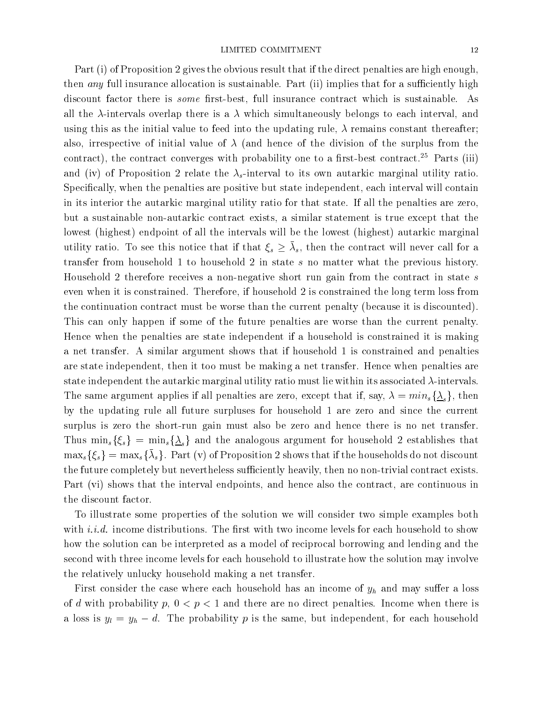Part (i) of Proposition 2 gives the obvious result that if the direct penalties are high enough. then *any* full insurance allocation is sustainable. Part (ii) implies that for a sufficiently high discount factor there is *some* first-best, full insurance contract which is sustainable. As all the  $\lambda$ -intervals overlap there is a  $\lambda$  which simultaneously belongs to each interval, and using this as the initial value to feed into the updating rule,  $\lambda$  remains constant thereafter; also, irrespective of initial value of  $\lambda$  (and hence of the division of the surplus from the contract), the contract converges with probability one to a first-best contract.<sup>25</sup> Parts (iii) and (iv) of Proposition 2 relate the  $\lambda_s$ -interval to its own autorities marginal utility ratio. Specifically, when the penalties are positive but state independent, each interval will contain in its interior the autarkic marginal utility ratio for that state. If all the penalties are zero. but a sustainable non-autarkic contract exists, a similar statement is true except that the lowest (highest) endpoint of all the intervals will be the lowest (highest) autarkic marginal utility ratio. To see this notice that if that  $\xi_s \geq \overline{\lambda}_s$ , then the contract will never call for a transfer from household 1 to household 2 in state s no matter what the previous history. Household 2 therefore receives a non-negative short run gain from the contract in state s even when it is constrained. Therefore, if household 2 is constrained the long term loss from the continuation contract must be worse than the current penalty (because it is discounted). This can only happen if some of the future penalties are worse than the current penalty. Hence when the penalties are state independent if a household is constrained it is making a net transfer. A similar argument shows that if household 1 is constrained and penalties are state independent, then it too must be making a net transfer. Hence when penalties are state independent the autorition marginal utility ratio must lie within its associated  $\lambda$ -intervals. The same argument applies if all penalties are zero, except that if, say,  $\lambda = min_s \{\lambda_s\}$ , then by the updating rule all future surpluses for household 1 are zero and since the current surplus is zero the short-run gain must also be zero and hence there is no net transfer. Thus  $\min_s {\xi_s} = \min_s {\{\Delta_s}\}\$ and the analogous argument for household 2 establishes that  $\max_s {\xi_s} = \max_s {\bar{\lambda}_s}$ . Part (v) of Proposition 2 shows that if the households do not discount the future completely but nevertheless sufficiently heavily, then no non-trivial contract exists. Part (vi) shows that the interval endpoints, and hence also the contract, are continuous in the discount factor.

To illustrate some properties of the solution we will consider two simple examples both with *i.i.d.* income distributions. The first with two income levels for each household to show how the solution can be interpreted as a model of reciprocal borrowing and lending and the second with three income levels for each household to illustrate how the solution may involve the relatively unlucky household making a net transfer.

First consider the case where each household has an income of  $y_h$  and may suffer a loss of d with probability  $p, 0 < p < 1$  and there are no direct penalties. Income when there is a loss is  $y_l = y_h - d$ . The probability p is the same, but independent, for each household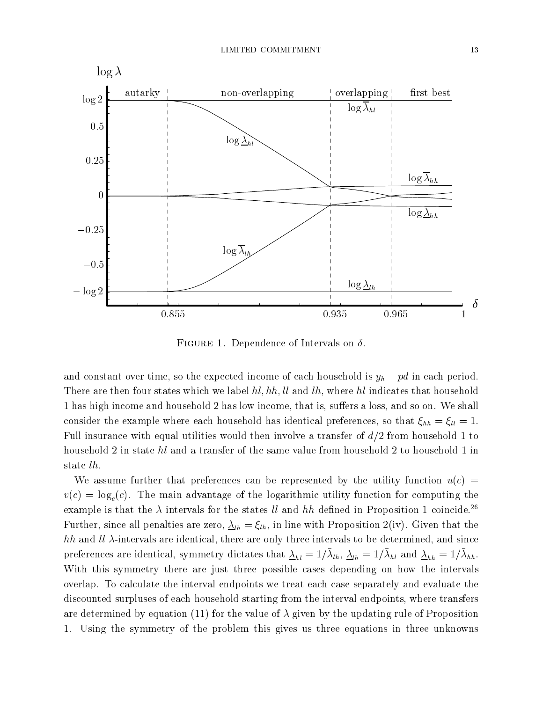

FIGURE 1. Dependence of Intervals on  $\delta$ .

and constant over time, so the expected income of each household is  $y_h - pd$  in each period. There are then four states which we label hl, hh, ll and lh, where hl indicates that household 1 has high income and household 2 has low income, that is, suffers a loss, and so on. We shall consider the example where each household has identical preferences, so that  $\xi_{hh} = \xi_{ll} = 1$ . Full insurance with equal utilities would then involve a transfer of  $d/2$  from household 1 to household 2 in state hl and a transfer of the same value from household 2 to household 1 in state lh.

We assume further that preferences can be represented by the utility function  $u(c)$  =  $v(c) = \log_e(c)$ . The main advantage of the logarithmic utility function for computing the example is that the  $\lambda$  intervals for the states  $ll$  and  $hh$  defined in Proposition 1 coincide.<sup>26</sup> Further, since all penalties are zero,  $\Delta_{lh} = \xi_{lh}$ , in line with Proposition 2(iv). Given that the  $hh$  and  $ll$   $\lambda$ -intervals are identical, there are only three intervals to be determined, and since preferences are identical, symmetry dictates that  $\underline{\lambda}_{hl} = 1/\overline{\lambda}_{lh}$ ,  $\underline{\lambda}_{lh} = 1/\overline{\lambda}_{hl}$  and  $\underline{\lambda}_{hh} = 1/\overline{\lambda}_{hh}$ . With this symmetry there are just three possible cases depending on how the intervals overlap. To calculate the interval endpoints we treat each case separately and evaluate the discounted surpluses of each household starting from the interval endpoints, where transfers are determined by equation (11) for the value of  $\lambda$  given by the updating rule of Proposition 1. Using the symmetry of the problem this gives us three equations in three unknowns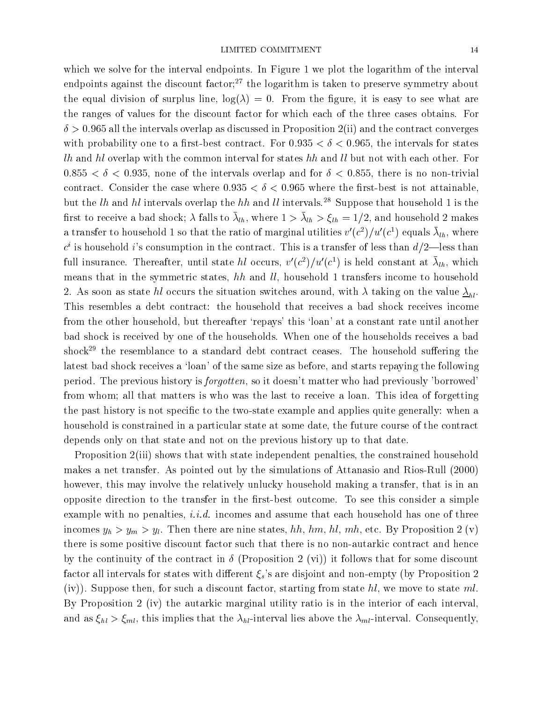which we solve for the interval endpoints. In Figure 1 we plot the logarithm of the interval endpoints against the discount factor;<sup>27</sup> the logarithm is taken to preserve symmetry about the equal division of surplus line,  $log(\lambda) = 0$ . From the figure, it is easy to see what are the ranges of values for the discount factor for which each of the three cases obtains. For  $\delta > 0.965$  all the intervals overlap as discussed in Proposition 2(ii) and the contract converges with probability one to a first-best contract. For  $0.935 < \delta < 0.965$ , the intervals for states lh and hl overlap with the common interval for states hh and ll but not with each other. For  $0.855 < \delta < 0.935$ , none of the intervals overlap and for  $\delta < 0.855$ , there is no non-trivial contract. Consider the case where  $0.935 < \delta < 0.965$  where the first-best is not attainable. but the lh and hl intervals overlap the hh and ll intervals.<sup>28</sup> Suppose that household 1 is the first to receive a bad shock;  $\lambda$  falls to  $\bar{\lambda}_{lh}$ , where  $1 > \bar{\lambda}_{lh} > \xi_{lh} = 1/2$ , and household 2 makes a transfer to household 1 so that the ratio of marginal utilities  $v'(c^2)/u'(c^1)$  equals  $\lambda_{lh}$ , where  $c<sup>i</sup>$  is household i's consumption in the contract. This is a transfer of less than  $d/2$ —less than full insurance. Thereafter, until state hl occurs,  $v'(c^2)/u'(c^1)$  is held constant at  $\bar{\lambda}_{lh}$ , which means that in the symmetric states, hh and ll, household 1 transfers income to household 2. As soon as state hl occurs the situation switches around, with  $\lambda$  taking on the value  $\lambda_{hl}$ . This resembles a debt contract: the household that receives a bad shock receives income from the other household, but thereafter 'repays' this 'loan' at a constant rate until another bad shock is received by one of the households. When one of the households receives a bad shock<sup>29</sup> the resemblance to a standard debt contract ceases. The household suffering the latest bad shock receives a 'loan' of the same size as before, and starts repaying the following period. The previous history is *forgotten*, so it doesn't matter who had previously 'borrowed' from whom; all that matters is who was the last to receive a loan. This idea of forgetting the past history is not specific to the two-state example and applies quite generally: when a household is constrained in a particular state at some date, the future course of the contract depends only on that state and not on the previous history up to that date.

Proposition 2(iii) shows that with state independent penalties, the constrained household makes a net transfer. As pointed out by the simulations of Attanasio and Rios-Rull (2000) however, this may involve the relatively unlucky household making a transfer, that is in an opposite direction to the transfer in the first-best outcome. To see this consider a simple example with no penalties, *i.i.d.* incomes and assume that each household has one of three incomes  $y_h > y_m > y_l$ . Then there are nine states, hh, hm, hl, mh, etc. By Proposition 2 (v) there is some positive discount factor such that there is no non-autoritie contract and hence by the continuity of the contract in  $\delta$  (Proposition 2 (vi)) it follows that for some discount factor all intervals for states with different  $\xi_s$ 's are disjoint and non-empty (by Proposition 2 (iv)). Suppose then, for such a discount factor, starting from state h, we move to state m. By Proposition 2 (iv) the autarkic marginal utility ratio is in the interior of each interval, and as  $\xi_{hl} > \xi_{ml}$ , this implies that the  $\lambda_{hl}$ -interval lies above the  $\lambda_{ml}$ -interval. Consequently,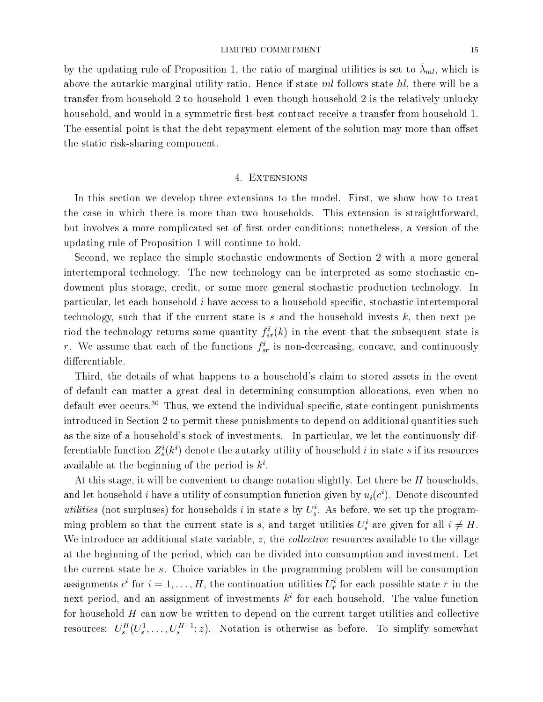by the updating rule of Proposition 1, the ratio of marginal utilities is set to  $\lambda_{ml}$ , which is above the autorrhic marginal utility ratio. Hence if state  $ml$  follows state  $hl$ , there will be a transfer from household 2 to household 1 even though household 2 is the relatively unlucky household, and would in a symmetric first-best contract receive a transfer from household 1. The essential point is that the debt repayment element of the solution may more than offset the static risk-sharing component.

## 4. EXTENSIONS

In this section we develop three extensions to the model. First, we show how to treat the case in which there is more than two households. This extension is straightforward, but involves a more complicated set of first order conditions; nonetheless, a version of the updating rule of Proposition 1 will continue to hold.

Second, we replace the simple stochastic endowments of Section 2 with a more general intertemporal technology. The new technology can be interpreted as some stochastic endowment plus storage, credit, or some more general stochastic production technology. In particular, let each household  $i$  have access to a household-specific, stochastic intertemporal technology, such that if the current state is s and the household invests  $k$ , then next period the technology returns some quantity  $f_{sr}^i(k)$  in the event that the subsequent state is r. We assume that each of the functions  $f_{sr}^i$  is non-decreasing, concave, and continuously differentiable.

Third, the details of what happens to a household's claim to stored assets in the event of default can matter a great deal in determining consumption allocations, even when no default ever occurs.<sup>30</sup> Thus, we extend the individual-specific, state-contingent punishments introduced in Section 2 to permit these punishments to depend on additional quantities such as the size of a household's stock of investments. In particular, we let the continuously differentiable function  $Z_s^i(k^i)$  denote the autarky utility of household i in state s if its resources available at the beginning of the period is  $k^i$ .

At this stage, it will be convenient to change notation slightly. Let there be H households. and let household i have a utility of consumption function given by  $u_i(c^i)$ . Denote discounted *utilities* (not surpluses) for households i in state s by  $U_s^i$ . As before, we set up the programming problem so that the current state is s, and target utilities  $U_s^i$  are given for all  $i \neq H$ . We introduce an additional state variable,  $z$ , the *collective* resources available to the village at the beginning of the period, which can be divided into consumption and investment. Let the current state be s. Choice variables in the programming problem will be consumption assignments  $c^i$  for  $i = 1, ..., H$ , the continuation utilities  $U_r^i$  for each possible state r in the next period, and an assignment of investments  $k^i$  for each household. The value function for household  $H$  can now be written to depend on the current target utilities and collective resources:  $U_s^H(U_s^1,\ldots,U_s^{H-1};z)$ . Notation is otherwise as before. To simplify somewhat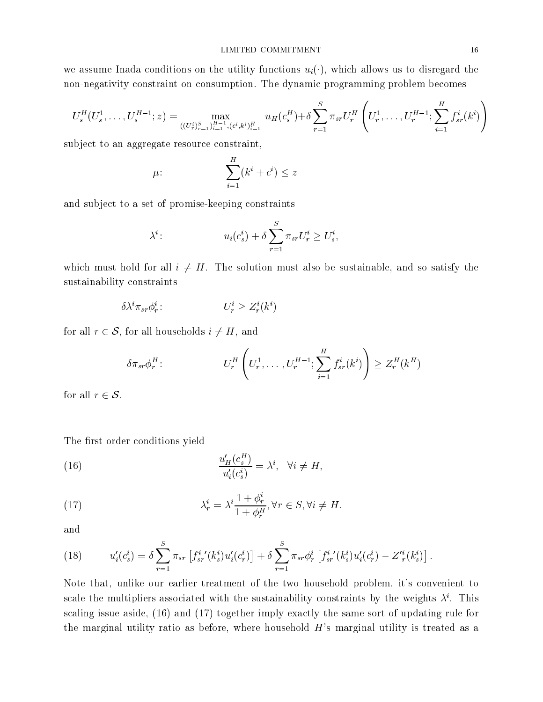we assume Inada conditions on the utility functions  $u_i(\cdot)$ , which allows us to disregard the non-negativity constraint on consumption. The dynamic programming problem becomes

$$
U_s^H(U_s^1, \ldots, U_s^{H-1}; z) = \max_{((U_r^i)_{r=1}^S)_{i=1}^{H-1}, (c^i, k^i)_{i=1}^H} u_H(c_s^H) + \delta \sum_{r=1}^S \pi_{sr} U_r^H\left(U_r^1, \ldots, U_r^{H-1}; \sum_{i=1}^H f_{sr}^i(k^i)\right)
$$

subject to an aggregate resource constraint,

$$
\mu: \qquad \sum_{i=1}^H (k^i + c^i) \leq z
$$

and subject to a set of promise-keeping constraints

$$
\lambda^i:
$$
\n
$$
u_i(c_s^i) + \delta \sum_{r=1}^S \pi_{sr} U_r^i \ge U_s^i,
$$

which must hold for all  $i \neq H$ . The solution must also be sustainable, and so satisfy the sustainability constraints

$$
\delta \lambda^i \pi_{sr} \phi^i_r : \qquad \qquad U^i_r \ge Z^i_r(k^i)
$$

for all  $r \in \mathcal{S}$ , for all households  $i \neq H$ , and

$$
\delta \pi_{sr} \phi_r^H: \qquad \qquad U_r^H \left( U_r^1, \ldots, U_r^{H-1}; \sum_{i=1}^H f_{sr}^i(k^i) \right) \ge Z_r^H(k^H)
$$

for all  $r \in \mathcal{S}$ .

The first-order conditions yield

(16) 
$$
\frac{u'_H(c_s^H)}{u'_i(c_s^i)} = \lambda^i, \quad \forall i \neq H,
$$

(17) 
$$
\lambda_r^i = \lambda^i \frac{1 + \phi_r^i}{1 + \phi_r^H}, \forall r \in S, \forall i \neq H.
$$

and

(18) 
$$
u'_{i}(c_{s}^{i}) = \delta \sum_{r=1}^{S} \pi_{sr} \left[ f_{sr}^{i}{}'(k_{s}^{i}) u'_{i}(c_{r}^{i}) \right] + \delta \sum_{r=1}^{S} \pi_{sr} \phi_{r}^{i} \left[ f_{sr}^{i}{}'(k_{s}^{i}) u'_{i}(c_{r}^{i}) - Z^{i}{}_{r}^{i}(k_{s}^{i}) \right].
$$

Note that, unlike our earlier treatment of the two household problem, it's convenient to scale the multipliers associated with the sustainability constraints by the weights  $\lambda^{i}$ . This scaling issue aside, (16) and (17) together imply exactly the same sort of updating rule for the marginal utility ratio as before, where household  $H$ 's marginal utility is treated as a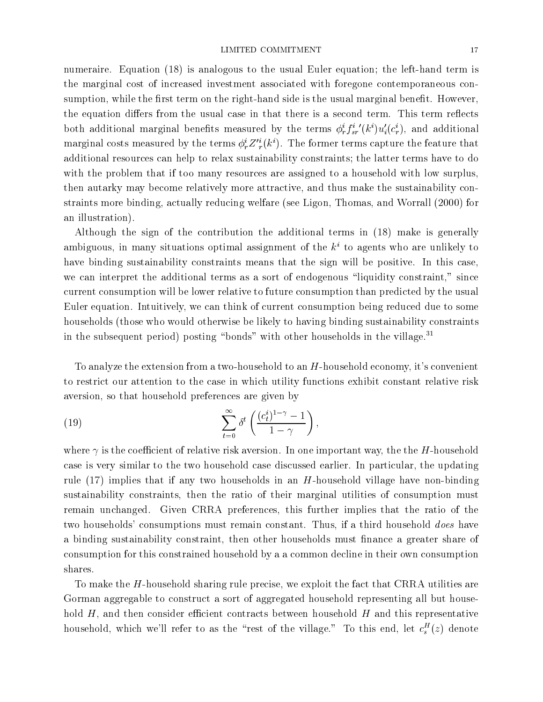numeraire. Equation (18) is analogous to the usual Euler equation; the left-hand term is the marginal cost of increased investment associated with foregone contemporaneous consumption, while the first term on the right-hand side is the usual marginal benefit. However. the equation differs from the usual case in that there is a second term. This term reflects both additional marginal benefits measured by the terms  $\phi_r^i f_{sr}^{i'}(k^i) u_i'(c_r^i)$ , and additional marginal costs measured by the terms  $\phi_r^i Z_r^i(k^i)$ . The former terms capture the feature that additional resources can help to relax sustainability constraints; the latter terms have to do with the problem that if too many resources are assigned to a household with low surplus. then autorly may become relatively more attractive, and thus make the sustainability constraints more binding, actually reducing welfare (see Ligon, Thomas, and Worrall (2000) for an illustration).

Although the sign of the contribution the additional terms in (18) make is generally ambiguous, in many situations optimal assignment of the  $k^i$  to agents who are unlikely to have binding sustainability constraints means that the sign will be positive. In this case, we can interpret the additional terms as a sort of endogenous "liquidity constraint," since current consumption will be lower relative to future consumption than predicted by the usual Euler equation. Intuitively, we can think of current consumption being reduced due to some households (those who would otherwise be likely to having binding sustainability constraints in the subsequent period) posting "bonds" with other households in the village.<sup>31</sup>

To analyze the extension from a two-household to an H-household economy, it's convenient to restrict our attention to the case in which utility functions exhibit constant relative risk aversion, so that household preferences are given by

(19) 
$$
\sum_{t=0}^{\infty} \delta^t \left( \frac{(c_t^i)^{1-\gamma} - 1}{1 - \gamma} \right)
$$

where  $\gamma$  is the coefficient of relative risk aversion. In one important way, the the H-household case is very similar to the two household case discussed earlier. In particular, the updating rule  $(17)$  implies that if any two households in an H-household village have non-binding sustainability constraints, then the ratio of their marginal utilities of consumption must remain unchanged. Given CRRA preferences, this further implies that the ratio of the two households' consumptions must remain constant. Thus, if a third household *does* have a binding sustainability constraint, then other households must finance a greater share of consumption for this constrained household by a a common decline in their own consumption shares.

To make the H-household sharing rule precise, we exploit the fact that CRRA utilities are Gorman aggregable to construct a sort of aggregated household representing all but household  $H$ , and then consider efficient contracts between household  $H$  and this representative household, which we'll refer to as the "rest of the village." To this end, let  $c_s^H(z)$  denote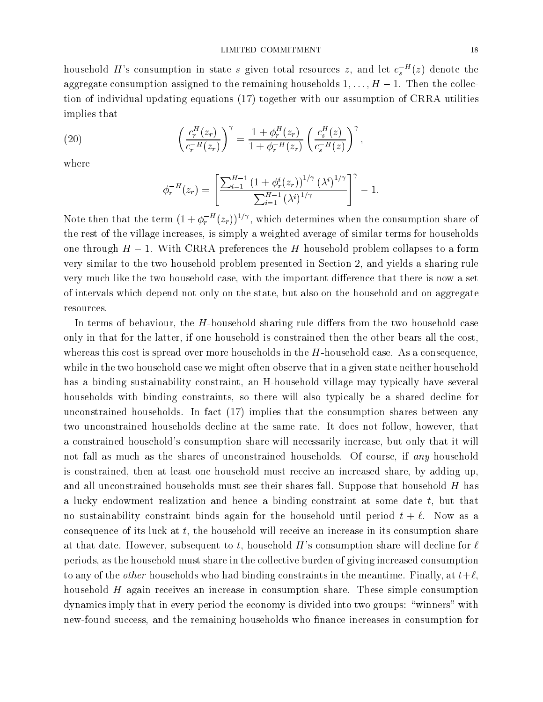household H's consumption in state s given total resources z, and let  $c_s^{-H}(z)$  denote the aggregate consumption assigned to the remaining households  $1, \ldots, H-1$ . Then the collection of individual updating equations (17) together with our assumption of CRRA utilities implies that

(20) 
$$
\left(\frac{c_r^H(z_r)}{c_r^{-H}(z_r)}\right)^{\gamma} = \frac{1 + \phi_r^H(z_r)}{1 + \phi_r^{-H}(z_r)} \left(\frac{c_s^H(z)}{c_s^{-H}(z)}\right)^{\gamma},
$$

where

$$
\phi_r^{-H}(z_r) = \left[ \frac{\sum_{i=1}^{H-1} (1 + \phi_r^{i}(z_r))^{1/\gamma} (\lambda^i)^{1/\gamma}}{\sum_{i=1}^{H-1} (\lambda^i)^{1/\gamma}} \right]^\gamma - 1.
$$

Note then that the term  $(1 + \phi_r^{-H}(z_r))^{1/\gamma}$ , which determines when the consumption share of the rest of the village increases, is simply a weighted average of similar terms for households one through  $H-1$ . With CRRA preferences the H household problem collapses to a form very similar to the two household problem presented in Section 2, and yields a sharing rule very much like the two household case, with the important difference that there is now a set of intervals which depend not only on the state, but also on the household and on aggregate resources.

In terms of behaviour, the  $H$ -household sharing rule differs from the two household case only in that for the latter, if one household is constrained then the other bears all the cost. whereas this cost is spread over more households in the  $H$ -household case. As a consequence, while in the two household case we might often observe that in a given state neither household has a binding sustainability constraint, an H-household village may typically have several households with binding constraints, so there will also typically be a shared decline for unconstrained households. In fact (17) implies that the consumption shares between any two unconstrained households decline at the same rate. It does not follow, however, that a constrained household's consumption share will necessarily increase, but only that it will not fall as much as the shares of unconstrained households. Of course, if any household is constrained, then at least one household must receive an increased share, by adding up, and all unconstrained households must see their shares fall. Suppose that household  $H$  has a lucky endowment realization and hence a binding constraint at some date  $t$ , but that no sustainability constraint binds again for the household until period  $t + \ell$ . Now as a consequence of its luck at  $t$ , the household will receive an increase in its consumption share at that date. However, subsequent to t, household H's consumption share will decline for  $\ell$ periods, as the household must share in the collective burden of giving increased consumption to any of the *other* households who had binding constraints in the meantime. Finally, at  $t+\ell$ , household H again receives an increase in consumption share. These simple consumption dynamics imply that in every period the economy is divided into two groups: "winners" with new-found success, and the remaining households who finance increases in consumption for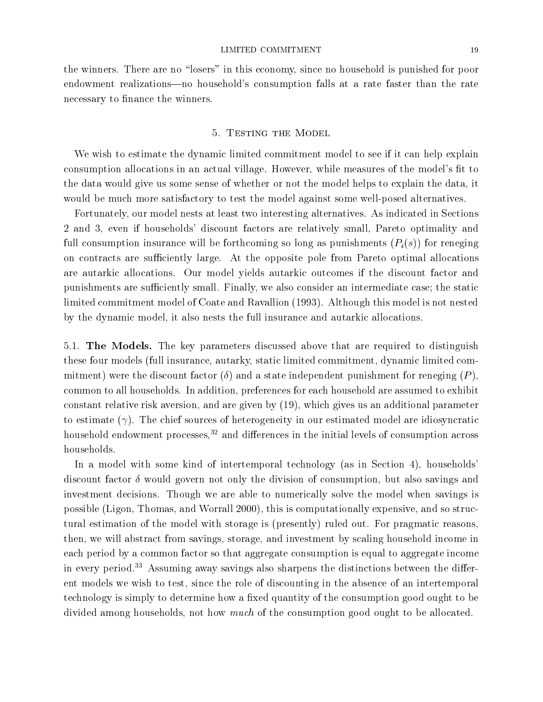the winners. There are no "losers" in this economy, since no household is punished for poor endowment realizations-no household's consumption falls at a rate faster than the rate necessary to finance the winners.

## 5. TESTING THE MODEL

We wish to estimate the dynamic limited commitment model to see if it can help explain consumption allocations in an actual village. However, while measures of the model's fit to the data would give us some sense of whether or not the model helps to explain the data, it would be much more satisfactory to test the model against some well-posed alternatives.

Fortunately, our model nests at least two interesting alternatives. As indicated in Sections 2 and 3, even if households' discount factors are relatively small, Pareto optimality and full consumption insurance will be forthcoming so long as punishments  $(P_i(s))$  for reneging on contracts are sufficiently large. At the opposite pole from Pareto optimal allocations are autarkic allocations. Our model yields autarkic outcomes if the discount factor and punishments are sufficiently small. Finally, we also consider an intermediate case; the static limited commitment model of Coate and Ravallion (1993). Although this model is not nested by the dynamic model, it also nests the full insurance and autarkic allocations.

5.1. The Models. The key parameters discussed above that are required to distinguish these four models (full insurance, autarky, static limited commitment, dynamic limited commitment) were the discount factor ( $\delta$ ) and a state independent punishment for reneging (P). common to all households. In addition, preferences for each household are assumed to exhibit constant relative risk aversion, and are given by (19), which gives us an additional parameter to estimate  $(\gamma)$ . The chief sources of heterogeneity in our estimated model are idiosyncratic household endowment processes,<sup>32</sup> and differences in the initial levels of consumption across households.

In a model with some kind of intertemporal technology (as in Section 4), households discount factor  $\delta$  would govern not only the division of consumption, but also savings and investment decisions. Though we are able to numerically solve the model when savings is possible (Ligon, Thomas, and Worrall 2000), this is computationally expensive, and so structural estimation of the model with storage is (presently) ruled out. For pragmatic reasons. then, we will abstract from savings, storage, and investment by scaling household income in each period by a common factor so that aggregate consumption is equal to aggregate income in every period.<sup>33</sup> Assuming away savings also sharpens the distinctions between the different models we wish to test, since the role of discounting in the absence of an intertemporal technology is simply to determine how a fixed quantity of the consumption good ought to be divided among households, not how *much* of the consumption good ought to be allocated.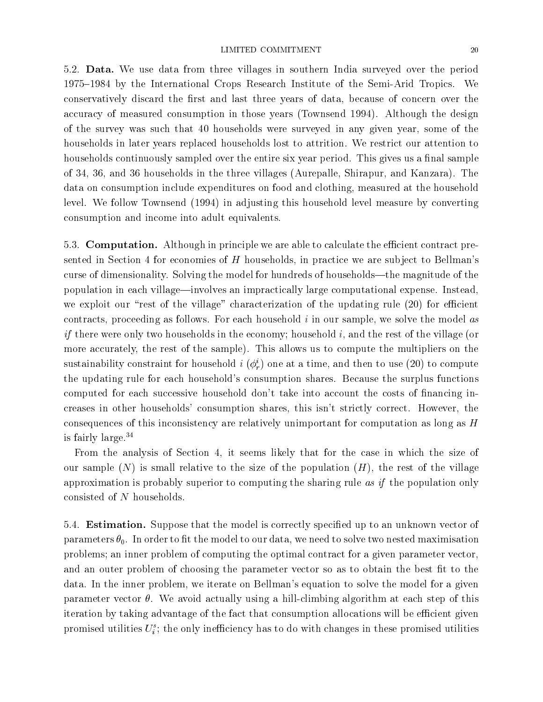5.2. **Data.** We use data from three villages in southern India surveyed over the period 1975–1984 by the International Crops Research Institute of the Semi-Arid Tropics. We conservatively discard the first and last three years of data, because of concern over the accuracy of measured consumption in those years (Townsend 1994). Although the design of the survey was such that 40 households were surveyed in any given year, some of the households in later years replaced households lost to attrition. We restrict our attention to households continuously sampled over the entire six year period. This gives us a final sample of 34, 36, and 36 households in the three villages (Aurepalle, Shirapur, and Kanzara). The data on consumption include expenditures on food and clothing, measured at the household level. We follow Townsend (1994) in adjusting this household level measure by converting consumption and income into adult equivalents.

5.3. **Computation.** Although in principle we are able to calculate the efficient contract presented in Section 4 for economies of  $H$  households, in practice we are subject to Bellman's curse of dimensionality. Solving the model for hundreds of households—the magnitude of the population in each village—involves an impractically large computational expense. Instead, we exploit our "rest of the village" characterization of the updating rule (20) for efficient contracts, proceeding as follows. For each household  $i$  in our sample, we solve the model as *if* there were only two households in the economy; household *i*, and the rest of the village (or more accurately, the rest of the sample). This allows us to compute the multipliers on the sustainability constraint for household  $i$  ( $\phi_i^i$ ) one at a time, and then to use (20) to compute the updating rule for each household's consumption shares. Because the surplus functions computed for each successive household don't take into account the costs of financing increases in other households' consumption shares, this isn't strictly correct. However, the consequences of this inconsistency are relatively unimportant for computation as long as H is fairly large.  $34$ 

From the analysis of Section 4, it seems likely that for the case in which the size of our sample (N) is small relative to the size of the population  $(H)$ , the rest of the village approximation is probably superior to computing the sharing rule *as if* the population only consisted of N households.

5.4. **Estimation.** Suppose that the model is correctly specified up to an unknown vector of parameters  $\theta_0$ . In order to fit the model to our data, we need to solve two nested maximisation problems; an inner problem of computing the optimal contract for a given parameter vector, and an outer problem of choosing the parameter vector so as to obtain the best fit to the data. In the inner problem, we iterate on Bellman's equation to solve the model for a given parameter vector  $\theta$ . We avoid actually using a hill-climbing algorithm at each step of this iteration by taking advantage of the fact that consumption allocations will be efficient given promised utilities  $U_i^s$ ; the only inefficiency has to do with changes in these promised utilities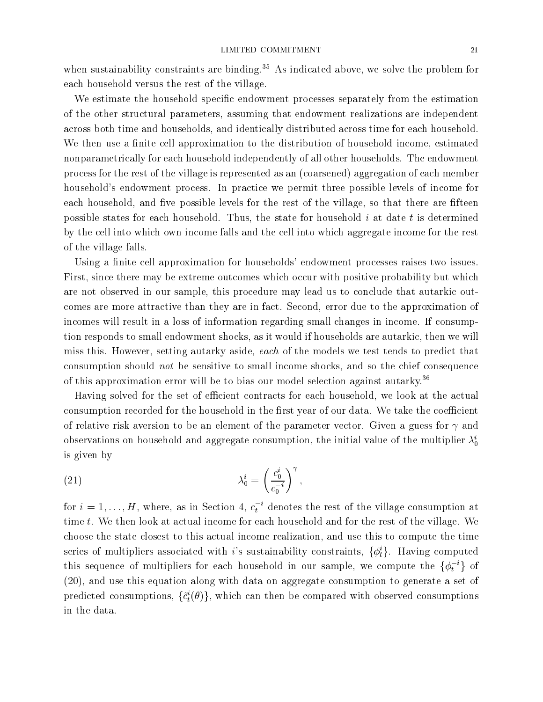when sustainability constraints are binding.<sup>35</sup> As indicated above, we solve the problem for each household versus the rest of the village.

We estimate the household specific endowment processes separately from the estimation of the other structural parameters, assuming that endowment realizations are independent across both time and households, and identically distributed across time for each household. We then use a finite cell approximation to the distribution of household income, estimated nonparametrically for each household independently of all other households. The endowment process for the rest of the village is represented as an (coarsened) aggregation of each member household's endowment process. In practice we permit three possible levels of income for each household, and five possible levels for the rest of the village, so that there are fifteen possible states for each household. Thus, the state for household  $i$  at date  $t$  is determined by the cell into which own income falls and the cell into which aggregate income for the rest of the village falls.

Using a finite cell approximation for households' endowment processes raises two issues. First, since there may be extreme outcomes which occur with positive probability but which are not observed in our sample, this procedure may lead us to conclude that autorities outcomes are more attractive than they are in fact. Second, error due to the approximation of incomes will result in a loss of information regarding small changes in income. If consumption responds to small endowment shocks, as it would if households are autarkic, then we will miss this. However, setting autorly aside, each of the models we test tends to predict that consumption should *not* be sensitive to small income shocks, and so the chief consequence of this approximation error will be to bias our model selection against autarky.<sup>36</sup>

Having solved for the set of efficient contracts for each household, we look at the actual consumption recorded for the household in the first year of our data. We take the coefficient of relative risk aversion to be an element of the parameter vector. Given a guess for  $\gamma$  and observations on household and aggregate consumption, the initial value of the multiplier  $\lambda_0^i$ is given by

(21) 
$$
\lambda_0^i = \left(\frac{c_0^i}{c_0^{-i}}\right)^\gamma,
$$

for  $i = 1, ..., H$ , where, as in Section 4,  $c_t^{-i}$  denotes the rest of the village consumption at time t. We then look at actual income for each household and for the rest of the village. We choose the state closest to this actual income realization, and use this to compute the time series of multipliers associated with i's sustainability constraints,  $\{\phi_t^i\}$ . Having computed this sequence of multipliers for each household in our sample, we compute the  $\{\phi_t^{-i}\}\$  of (20), and use this equation along with data on aggregate consumption to generate a set of predicted consumptions,  $\{\hat{c}_t^i(\theta)\}\$ , which can then be compared with observed consumptions in the data.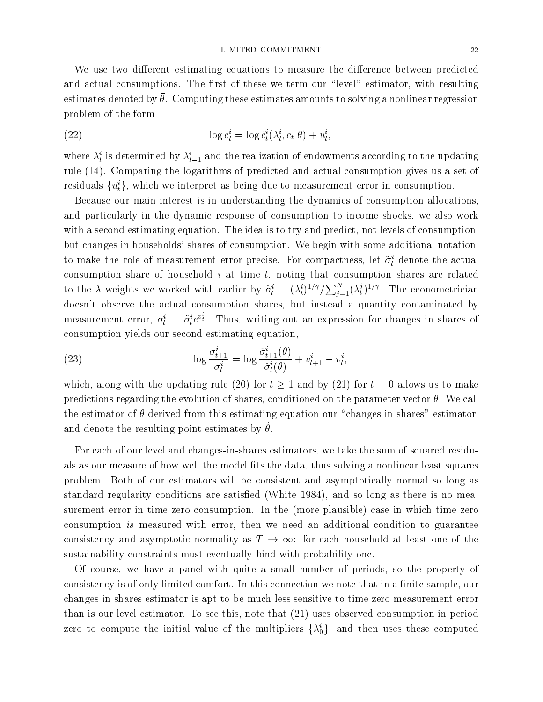We use two different estimating equations to measure the difference between predicted and actual consumptions. The first of these we term our "level" estimator, with resulting estimates denoted by  $\theta$ . Computing these estimates amounts to solving a nonlinear regression problem of the form

(22) 
$$
\log c_t^i = \log \hat{c}_t^i(\lambda_t^i, \bar{c}_t | \theta) + u_t^i,
$$

where  $\lambda_t^i$  is determined by  $\lambda_{t-1}^i$  and the realization of endowments according to the updating rule (14). Comparing the logarithms of predicted and actual consumption gives us a set of residuals  $\{u_t^i\}$ , which we interpret as being due to measurement error in consumption.

Because our main interest is in understanding the dynamics of consumption allocations, and particularly in the dynamic response of consumption to income shocks, we also work with a second estimating equation. The idea is to try and predict, not levels of consumption. but changes in households' shares of consumption. We begin with some additional notation. to make the role of measurement error precise. For compactness, let  $\tilde{\sigma}_t^i$  denote the actual consumption share of household  $i$  at time  $t$ , noting that consumption shares are related to the  $\lambda$  weights we worked with earlier by  $\tilde{\sigma}_t^i = (\lambda_t^i)^{1/\gamma} / \sum_{j=1}^N (\lambda_t^j)^{1/\gamma}$ . The econometrician doesn't observe the actual consumption shares, but instead a quantity contaminated by measurement error,  $\sigma_t^i = \tilde{\sigma}_t^i e^{v_t^i}$ . Thus, writing out an expression for changes in shares of consumption yields our second estimating equation.

(23) 
$$
\log \frac{\sigma_{t+1}^i}{\sigma_t^i} = \log \frac{\hat{\sigma}_{t+1}^i(\theta)}{\hat{\sigma}_t^i(\theta)} + v_{t+1}^i - v_t^i,
$$

which, along with the updating rule (20) for  $t \ge 1$  and by (21) for  $t = 0$  allows us to make predictions regarding the evolution of shares, conditioned on the parameter vector  $\theta$ . We call the estimator of  $\theta$  derived from this estimating equation our "changes-in-shares" estimator. and denote the resulting point estimates by  $\theta$ .

For each of our level and changes-in-shares estimators, we take the sum of squared residuals as our measure of how well the model fits the data, thus solving a nonlinear least squares problem. Both of our estimators will be consistent and asymptotically normal so long as standard regularity conditions are satisfied (White 1984), and so long as there is no measurement error in time zero consumption. In the (more plausible) case in which time zero consumption is measured with error, then we need an additional condition to guarantee consistency and asymptotic normality as  $T \to \infty$ : for each household at least one of the sustainability constraints must eventually bind with probability one.

Of course, we have a panel with quite a small number of periods, so the property of consistency is of only limited comfort. In this connection we note that in a finite sample, our changes-in-shares estimator is apt to be much less sensitive to time zero measurement error than is our level estimator. To see this, note that (21) uses observed consumption in period zero to compute the initial value of the multipliers  $\{\lambda_0^i\}$ , and then uses these computed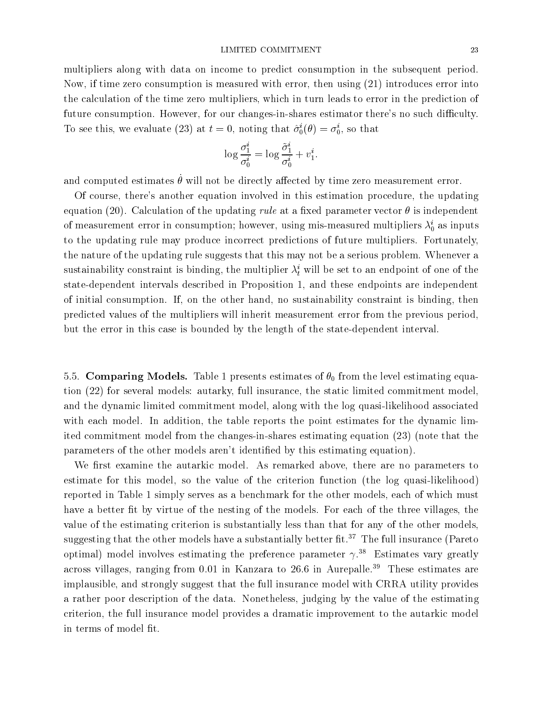multipliers along with data on income to predict consumption in the subsequent period. Now, if time zero consumption is measured with error, then using (21) introduces error into the calculation of the time zero multipliers, which in turn leads to error in the prediction of future consumption. However, for our changes-in-shares estimator there's no such difficulty. To see this, we evaluate (23) at  $t = 0$ , noting that  $\hat{\sigma}_0^i(\theta) = \sigma_0^i$ , so that

$$
\log \frac{\sigma_1^i}{\sigma_0^i} = \log \frac{\tilde{\sigma}_1^i}{\sigma_0^i} + v_1^i
$$

and computed estimates  $\dot{\theta}$  will not be directly affected by time zero measurement error.

Of course, there's another equation involved in this estimation procedure, the updating equation (20). Calculation of the updating rule at a fixed parameter vector  $\theta$  is independent of measurement error in consumption; however, using mis-measured multipliers  $\lambda_0^i$  as inputs to the updating rule may produce incorrect predictions of future multipliers. Fortunately, the nature of the updating rule suggests that this may not be a serious problem. Whenever a sustainability constraint is binding, the multiplier  $\lambda_t^i$  will be set to an endpoint of one of the state-dependent intervals described in Proposition 1, and these endpoints are independent of initial consumption. If, on the other hand, no sustainability constraint is binding, then predicted values of the multipliers will inherit measurement error from the previous period. but the error in this case is bounded by the length of the state-dependent interval.

5.5. Comparing Models. Table 1 presents estimates of  $\theta_0$  from the level estimating equation (22) for several models: autority, full insurance, the static limited commitment model. and the dynamic limited commitment model, along with the log quasi-likelihood associated with each model. In addition, the table reports the point estimates for the dynamic limited commitment model from the changes-in-shares estimating equation (23) (note that the parameters of the other models aren't identified by this estimating equation).

We first examine the autorkic model. As remarked above, there are no parameters to estimate for this model, so the value of the criterion function (the log quasi-likelihood) reported in Table 1 simply serves as a benchmark for the other models, each of which must have a better fit by virtue of the nesting of the models. For each of the three villages, the value of the estimating criterion is substantially less than that for any of the other models. suggesting that the other models have a substantially better fit.<sup>37</sup> The full insurance (Pareto optimal) model involves estimating the preference parameter  $\gamma$ .<sup>38</sup> Estimates vary greatly across villages, ranging from 0.01 in Kanzara to 26.6 in Aurepalle.<sup>39</sup> These estimates are implausible, and strongly suggest that the full insurance model with CRRA utility provides a rather poor description of the data. Nonetheless, judging by the value of the estimating criterion, the full insurance model provides a dramatic improvement to the autarkic model in terms of model fit.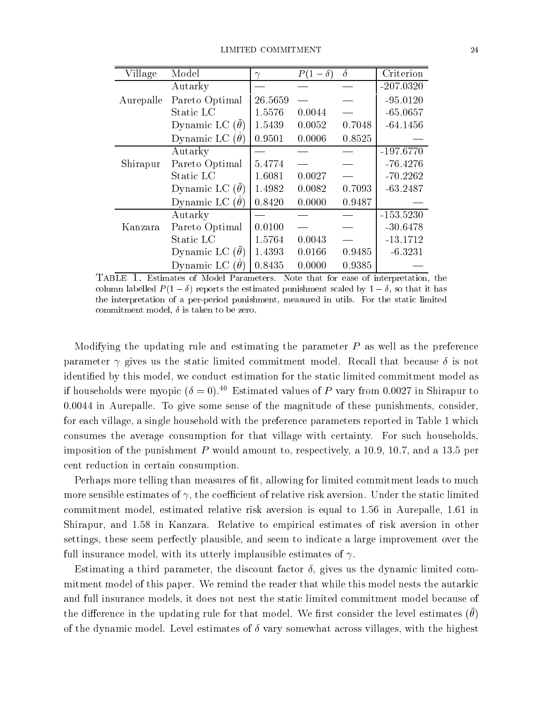|           | Model                    |          |               | $\delta$ | Criterion   |
|-----------|--------------------------|----------|---------------|----------|-------------|
| Village   |                          | $\gamma$ | $P(1-\delta)$ |          |             |
|           | Autarky                  |          |               |          | $-207.0320$ |
| Aurepalle | Pareto Optimal           | 26.5659  |               |          | $-95.0120$  |
|           | Static LC                | 1.5576   | 0.0044        |          | $-65.0657$  |
|           | Dynamic LC $(\theta)$    | 1.5439   | 0.0052        | 0.7048   | $-64.1456$  |
|           | Dynamic LC $(\theta)$    | 0.9501   | 0.0006        | 0.8525   |             |
|           | Autarky                  |          |               |          | $-197.6770$ |
| Shirapur  | Pareto Optimal           | 5.4774   |               |          | $-76.4276$  |
|           | Static LC                | 1.6081   | 0.0027        |          | $-70.2262$  |
|           | Dynamic LC $(\theta)$    | 1.4982   | 0.0082        | 0.7093   | $-63.2487$  |
|           | Dynamic LC $(\theta)$    | 0.8420   | 0.0000        | 0.9487   |             |
|           | Autarky                  |          |               |          | $-153.5230$ |
| Kanzara   | Pareto Optimal           | 0.0100   |               |          | $-30.6478$  |
|           | Static LC                | 1.5764   | 0.0043        |          | $-13.1712$  |
|           | Dynamic LC $(\theta)$    | 1.4393   | 0.0166        | 0.9485   | $-6.3231$   |
|           | Dynamic LC<br>$(\theta)$ | 0.8435   | 0.0000        | 0.9385   |             |

TABLE 1. Estimates of Model Parameters. Note that for ease of interpretation, the column labelled  $P(1-\delta)$  reports the estimated punishment scaled by  $1-\delta$ , so that it has the interpretation of a per-period punishment, measured in utils. For the static limited commitment model,  $\delta$  is taken to be zero.

Modifying the updating rule and estimating the parameter  $P$  as well as the preference parameter  $\gamma$  gives us the static limited commitment model. Recall that because  $\delta$  is not identified by this model, we conduct estimation for the static limited commitment model as if households were myopic  $(\delta = 0)^{40}$  Estimated values of P vary from 0.0027 in Shirapur to  $0.0044$  in Aurepalle. To give some sense of the magnitude of these punishments, consider, for each village, a single household with the preference parameters reported in Table 1 which consumes the average consumption for that village with certainty. For such households, imposition of the punishment P would amount to, respectively, a 10.9, 10.7, and a 13.5 per cent reduction in certain consumption.

Perhaps more telling than measures of fit, allowing for limited commitment leads to much more sensible estimates of  $\gamma$ , the coefficient of relative risk aversion. Under the static limited commitment model, estimated relative risk aversion is equal to 1.56 in Aurepalle, 1.61 in Shirapur, and 1.58 in Kanzara. Relative to empirical estimates of risk aversion in other settings, these seem perfectly plausible, and seem to indicate a large improvement over the full insurance model, with its utterly implausible estimates of  $\gamma$ .

Estimating a third parameter, the discount factor  $\delta$ , gives us the dynamic limited commitment model of this paper. We remind the reader that while this model nests the autarkic and full insurance models, it does not nest the static limited commitment model because of the difference in the updating rule for that model. We first consider the level estimates  $(\theta)$ of the dynamic model. Level estimates of  $\delta$  vary somewhat across villages, with the highest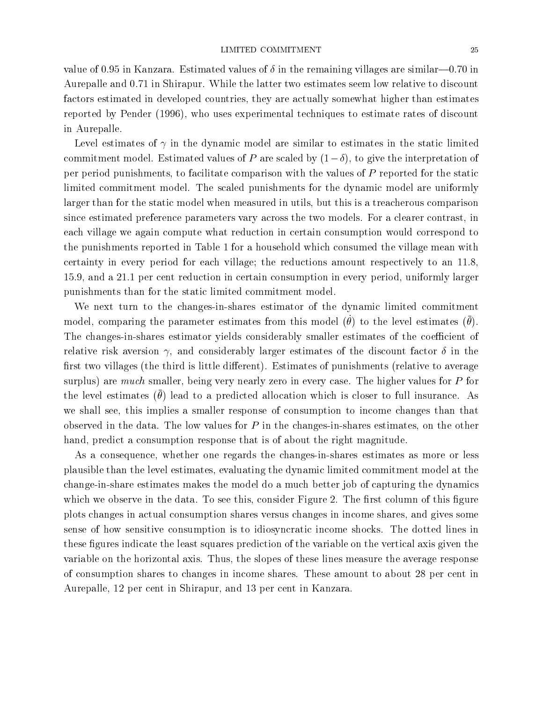value of 0.95 in Kanzara. Estimated values of  $\delta$  in the remaining villages are similar—0.70 in Aurepalle and 0.71 in Shirapur. While the latter two estimates seem low relative to discount factors estimated in developed countries, they are actually somewhat higher than estimates reported by Pender (1996), who uses experimental techniques to estimate rates of discount in Aurepalle.

Level estimates of  $\gamma$  in the dynamic model are similar to estimates in the static limited commitment model. Estimated values of P are scaled by  $(1-\delta)$ , to give the interpretation of per period punishments, to facilitate comparison with the values of  $P$  reported for the static limited commitment model. The scaled punishments for the dynamic model are uniformly larger than for the static model when measured in utils, but this is a treacherous comparison since estimated preference parameters vary across the two models. For a clearer contrast, in each village we again compute what reduction in certain consumption would correspond to the punishments reported in Table 1 for a household which consumed the village mean with certainty in every period for each village; the reductions amount respectively to an 11.8, 15.9, and a 21.1 per cent reduction in certain consumption in every period, uniformly larger punishments than for the static limited commitment model.

We next turn to the changes-in-shares estimator of the dynamic limited commitment model, comparing the parameter estimates from this model  $(\theta)$  to the level estimates  $(\bar{\theta})$ . The changes-in-shares estimator yields considerably smaller estimates of the coefficient of relative risk aversion  $\gamma$ , and considerably larger estimates of the discount factor  $\delta$  in the first two villages (the third is little different). Estimates of punishments (relative to average surplus) are *much* smaller, being very nearly zero in every case. The higher values for P for the level estimates  $(\bar{\theta})$  lead to a predicted allocation which is closer to full insurance. As we shall see, this implies a smaller response of consumption to income changes than that observed in the data. The low values for  $P$  in the changes-in-shares estimates, on the other hand, predict a consumption response that is of about the right magnitude.

As a consequence, whether one regards the changes-in-shares estimates as more or less plausible than the level estimates, evaluating the dynamic limited commitment model at the change-in-share estimates makes the model do a much better job of capturing the dynamics which we observe in the data. To see this, consider Figure 2. The first column of this figure plots changes in actual consumption shares versus changes in income shares, and gives some sense of how sensitive consumption is to idiosyncratic income shocks. The dotted lines in these figures indicate the least squares prediction of the variable on the vertical axis given the variable on the horizontal axis. Thus, the slopes of these lines measure the average response of consumption shares to changes in income shares. These amount to about 28 per cent in Aurepalle, 12 per cent in Shirapur, and 13 per cent in Kanzara.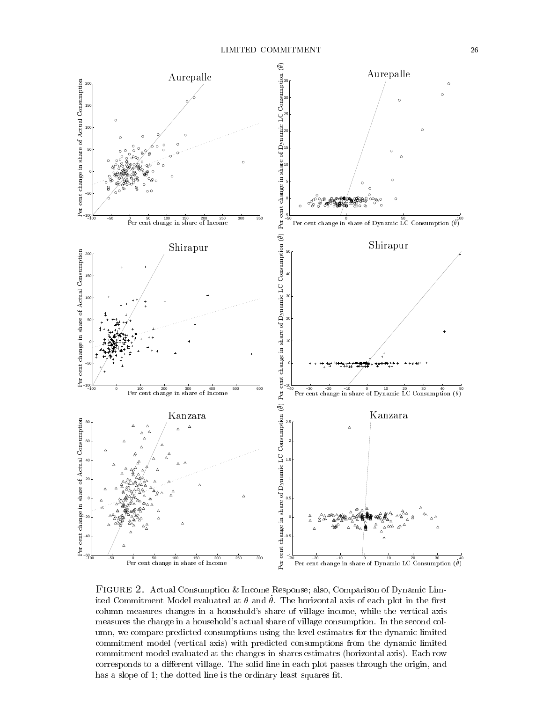



FIGURE 2. Actual Consumption & Income Response; also, Comparison of Dynamic Limited Commitment Model evaluated at  $\bar{\theta}$  and  $\dot{\theta}$ . The horizontal axis of each plot in the first column measures changes in a household's share of village income, while the vertical axis measures the change in a household's actual share of village consumption. In the second column, we compare predicted consumptions using the level estimates for the dynamic limited commitment model (vertical axis) with predicted consumptions from the dynamic limited commitment model evaluated at the changes-in-shares estimates (horizontal axis). Each row corresponds to a different village. The solid line in each plot passes through the origin, and has a slope of 1; the dotted line is the ordinary least squares fit.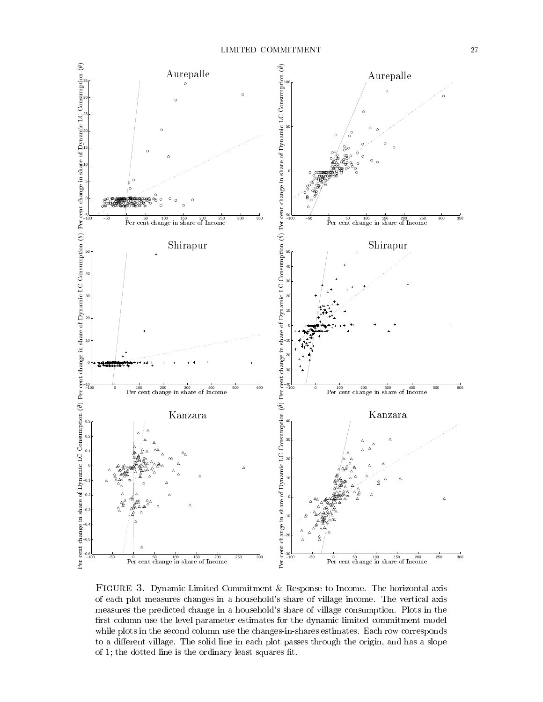![](_page_27_Figure_2.jpeg)

FIGURE 3. Dynamic Limited Commitment & Response to Income. The horizontal axis of each plot measures changes in a household's share of village income. The vertical axis measures the predicted change in a household's share of village consumption. Plots in the first column use the level parameter estimates for the dynamic limited commitment model while plots in the second column use the changes-in-shares estimates. Each row corresponds to a different village. The solid line in each plot passes through the origin, and has a slope of 1; the dotted line is the ordinary least squares fit.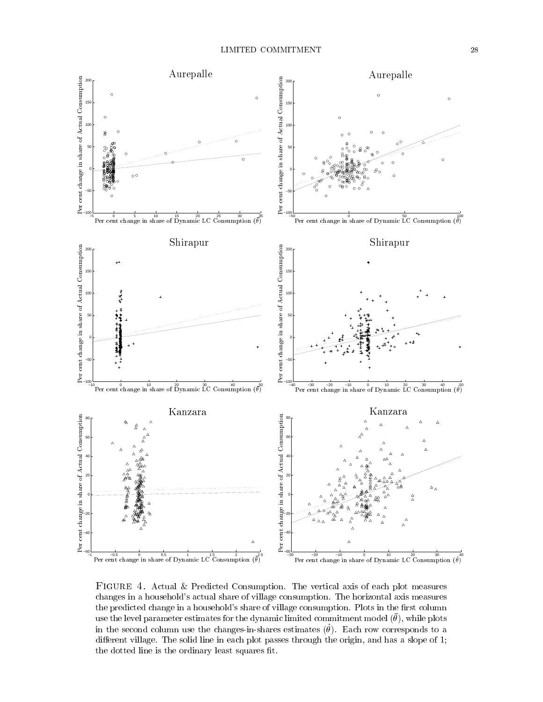![](_page_28_Figure_1.jpeg)

FIGURE 4. Actual & Predicted Consumption. The vertical axis of each plot measures changes in a household's actual share of village consumption. The horizontal axis measures the predicted change in a household's share of village consumption. Plots in the first column use the level parameter estimates for the dynamic limited commitment model  $(\bar{\theta})$ , while plots in the second column use the changes-in-shares estimates  $(\dot{\theta})$ . Each row corresponds to a different village. The solid line in each plot passes through the origin, and has a slope of 1; the dotted line is the ordinary least squares fit.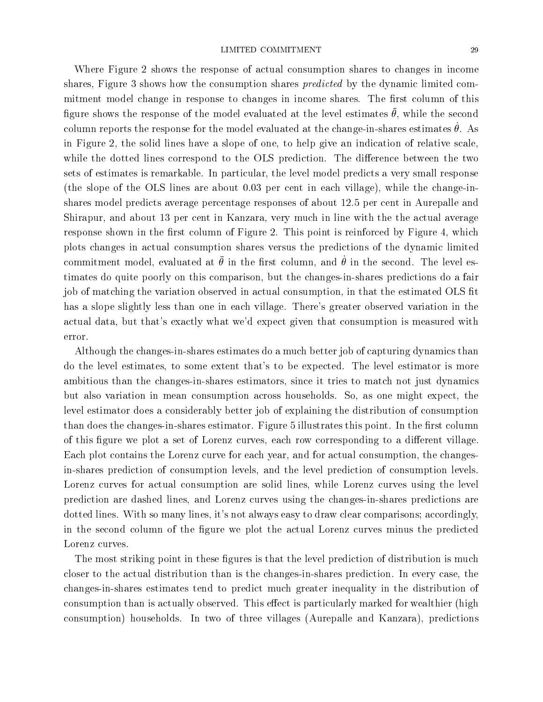Where Figure 2 shows the response of actual consumption shares to changes in income shares, Figure 3 shows how the consumption shares *predicted* by the dynamic limited commitment model change in response to changes in income shares. The first column of this figure shows the response of the model evaluated at the level estimates  $\bar{\theta}$ , while the second column reports the response for the model evaluated at the change-in-shares estimates  $\dot{\theta}$ . As in Figure 2, the solid lines have a slope of one, to help give an indication of relative scale, while the dotted lines correspond to the OLS prediction. The difference between the two sets of estimates is remarkable. In particular, the level model predicts a very small response (the slope of the OLS lines are about 0.03 per cent in each village), while the change-inshares model predicts average percentage responses of about 12.5 per cent in Aurepalle and Shirapur, and about 13 per cent in Kanzara, very much in line with the the actual average response shown in the first column of Figure 2. This point is reinforced by Figure 4, which plots changes in actual consumption shares versus the predictions of the dynamic limited commitment model, evaluated at  $\bar{\theta}$  in the first column, and  $\dot{\theta}$  in the second. The level estimates do quite poorly on this comparison, but the changes-in-shares predictions do a fair job of matching the variation observed in actual consumption, in that the estimated OLS fit has a slope slightly less than one in each village. There's greater observed variation in the actual data, but that's exactly what we'd expect given that consumption is measured with error.

Although the changes-in-shares estimates do a much better job of capturing dynamics than do the level estimates, to some extent that's to be expected. The level estimator is more ambitious than the changes-in-shares estimators, since it tries to match not just dynamics but also variation in mean consumption across households. So, as one might expect, the level estimator does a considerably better job of explaining the distribution of consumption than does the changes-in-shares estimator. Figure 5 illustrates this point. In the first column of this figure we plot a set of Lorenz curves, each row corresponding to a different village. Each plot contains the Lorenz curve for each year, and for actual consumption, the changesin-shares prediction of consumption levels, and the level prediction of consumption levels. Lorenz curves for actual consumption are solid lines, while Lorenz curves using the level prediction are dashed lines, and Lorenz curves using the changes-in-shares predictions are dotted lines. With so many lines, it's not always easy to draw clear comparisons; accordingly, in the second column of the figure we plot the actual Lorenz curves minus the predicted Lorenz curves.

The most striking point in these figures is that the level prediction of distribution is much closer to the actual distribution than is the changes-in-shares prediction. In every case, the changes-in-shares estimates tend to predict much greater inequality in the distribution of consumption than is actually observed. This effect is particularly marked for wealthier (high consumption) households. In two of three villages (Aurepalle and Kanzara), predictions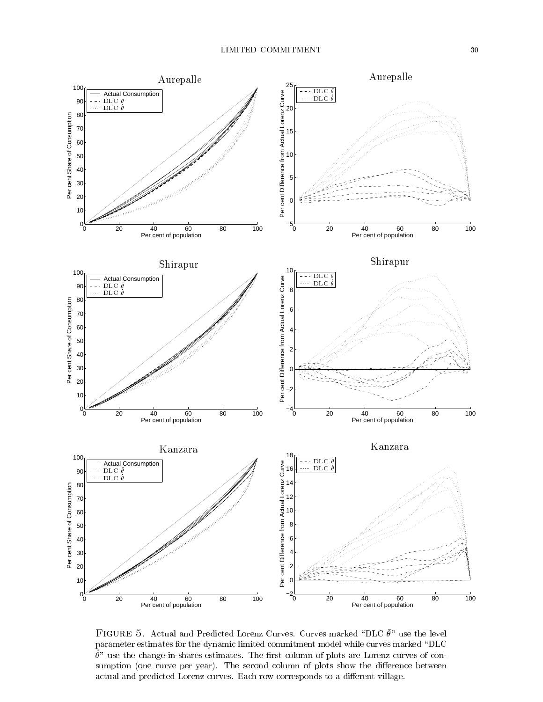![](_page_30_Figure_1.jpeg)

FIGURE 5. Actual and Predicted Lorenz Curves. Curves marked "DLC  $\bar{\theta}$ " use the level parameter estimates for the dynamic limited commitment model while curves marked "DLC  $\theta$ " use the change-in-shares estimates. The first column of plots are Lorenz curves of consumption (one curve per year). The second column of plots show the difference between actual and predicted Lorenz curves. Each row corresponds to a different village.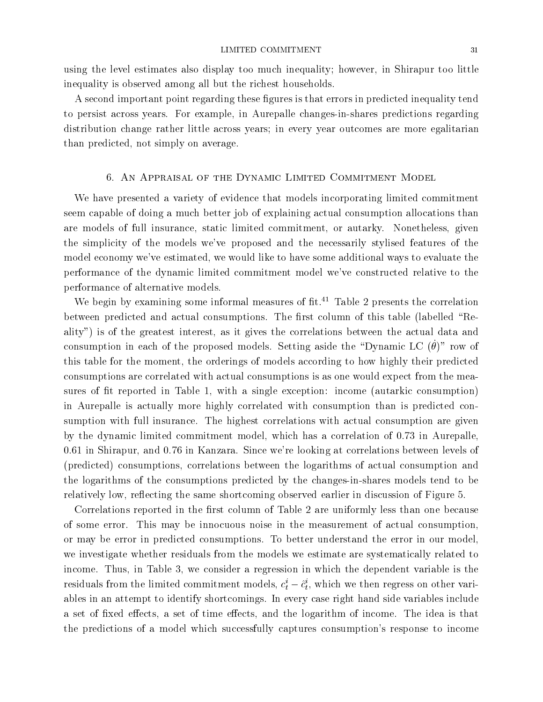using the level estimates also display too much inequality; however, in Shirapur too little inequality is observed among all but the richest households.

A second important point regarding these figures is that errors in predicted inequality tend to persist across years. For example, in Aurepalle changes-in-shares predictions regarding distribution change rather little across years; in every year outcomes are more egalitarian than predicted, not simply on average.

## 6. AN APPRAISAL OF THE DYNAMIC LIMITED COMMITMENT MODEL

We have presented a variety of evidence that models incorporating limited commitment seem capable of doing a much better job of explaining actual consumption allocations than are models of full insurance, static limited commitment, or autarky. Nonetheless, given the simplicity of the models we've proposed and the necessarily stylised features of the model economy we've estimated, we would like to have some additional ways to evaluate the performance of the dynamic limited commitment model we've constructed relative to the performance of alternative models.

We begin by examining some informal measures of fit.<sup>41</sup> Table 2 presents the correlation between predicted and actual consumptions. The first column of this table (labelled "Reality") is of the greatest interest, as it gives the correlations between the actual data and consumption in each of the proposed models. Setting aside the "Dynamic LC  $(\dot{\theta})$ " row of this table for the moment, the orderings of models according to how highly their predicted consumptions are correlated with actual consumptions is as one would expect from the measures of fit reported in Table 1, with a single exception: income (autarkic consumption) in Aurepalle is actually more highly correlated with consumption than is predicted consumption with full insurance. The highest correlations with actual consumption are given by the dynamic limited commitment model, which has a correlation of 0.73 in Aurepalle, 0.61 in Shirapur, and 0.76 in Kanzara. Since we're looking at correlations between levels of (predicted) consumptions, correlations between the logarithms of actual consumption and the logarithms of the consumptions predicted by the changes-in-shares models tend to be relatively low, reflecting the same shortcoming observed earlier in discussion of Figure 5.

Correlations reported in the first column of Table 2 are uniformly less than one because of some error. This may be innocuous noise in the measurement of actual consumption. or may be error in predicted consumptions. To better understand the error in our model. we investigate whether residuals from the models we estimate are systematically related to income. Thus, in Table 3, we consider a regression in which the dependent variable is the residuals from the limited commitment models,  $c_t^i - \hat{c}_t^i$ , which we then regress on other variables in an attempt to identify shortcomings. In every case right hand side variables include a set of fixed effects, a set of time effects, and the logarithm of income. The idea is that the predictions of a model which successfully captures consumption's response to income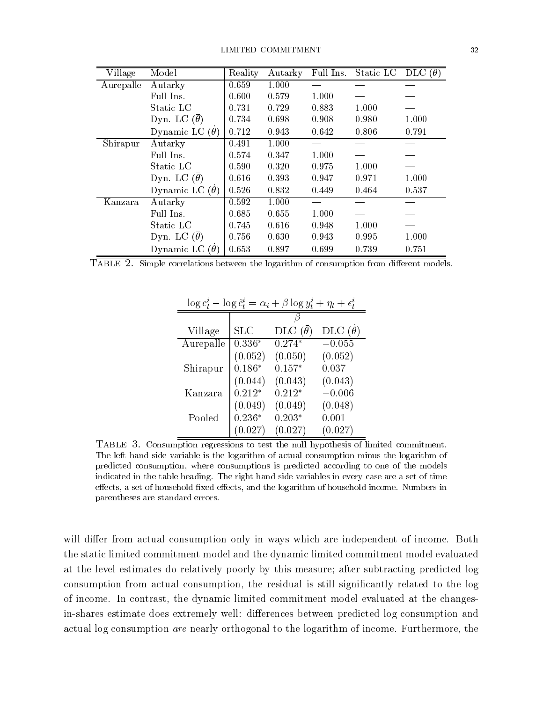| Village   | Model                    | Reality | Autarky | Full Ins. | Static LC | <b>DLC</b><br>$(\theta)$ |
|-----------|--------------------------|---------|---------|-----------|-----------|--------------------------|
| Aurepalle | Autarky                  | 0.659   | 1.000   |           |           |                          |
|           | Full Ins.                | 0.600   | 0.579   | 1.000     |           |                          |
|           | Static LC                | 0.731   | 0.729   | 0.883     | 1.000     |                          |
|           | Dyn. LC $(\theta)$       | 0.734   | 0.698   | 0.908     | 0.980     | 1.000                    |
|           | Dynamic LC $(\theta)$    | 0.712   | 0.943   | 0.642     | 0.806     | 0.791                    |
| Shirapur  | Autarky                  | 0.491   | 1.000   |           |           |                          |
|           | Full Ins.                | 0.574   | 0.347   | 1.000     |           |                          |
|           | Static LC                | 0.590   | 0.320   | 0.975     | 1.000     |                          |
|           | Dyn. LC $(\theta)$       | 0.616   | 0.393   | 0.947     | 0.971     | 1.000                    |
|           | Dynamic LC<br>$(\theta)$ | 0.526   | 0.832   | 0.449     | 0.464     | 0.537                    |
| Kanzara   | Autarky                  | 0.592   | 1.000   |           |           |                          |
|           | Full Ins.                | 0.685   | 0.655   | 1.000     |           |                          |
|           | Static LC                | 0.745   | 0.616   | 0.948     | 1.000     |                          |
|           | Dyn. LC $(\theta)$       | 0.756   | 0.630   | 0.943     | 0.995     | 1.000                    |
|           | Dynamic LC<br>$(\theta)$ | 0.653   | 0.897   | 0.699     | 0.739     | 0.751                    |

TABLE 2. Simple correlations between the logarithm of consumption from different models.

| $\log c_t^i - \log \hat{c}_t^i = \alpha_i + \beta \log y_t^i + \eta_t + \epsilon_t^i$ |          |                      |                |  |  |  |  |
|---------------------------------------------------------------------------------------|----------|----------------------|----------------|--|--|--|--|
|                                                                                       |          |                      |                |  |  |  |  |
| Village                                                                               | SLC      | DLC $(\bar{\theta})$ | DLC $(\theta)$ |  |  |  |  |
| Aurepalle                                                                             | $0.336*$ | $0.274*$             | $-0.055$       |  |  |  |  |
|                                                                                       | (0.052)  | (0.050)              | (0.052)        |  |  |  |  |
| Shirapur                                                                              | $0.186*$ | $0.157*$             | 0.037          |  |  |  |  |
|                                                                                       | (0.044)  | (0.043)              | (0.043)        |  |  |  |  |
| Kanzara                                                                               | $0.212*$ | $0.212*$             | $-0.006$       |  |  |  |  |
|                                                                                       | (0.049)  | (0.049)              | (0.048)        |  |  |  |  |
| Pooled                                                                                | $0.236*$ | $0.203*$             | 0.001          |  |  |  |  |
|                                                                                       | (0.027)  | (0.027)              | (0.027)        |  |  |  |  |

TABLE 3. Consumption regressions to test the null hypothesis of limited commitment. The left hand side variable is the logarithm of actual consumption minus the logarithm of predicted consumption, where consumptions is predicted according to one of the models indicated in the table heading. The right hand side variables in every case are a set of time effects, a set of household fixed effects, and the logarithm of household income. Numbers in parentheses are standard errors.

will differ from actual consumption only in ways which are independent of income. Both the static limited commitment model and the dynamic limited commitment model evaluated at the level estimates do relatively poorly by this measure; after subtracting predicted log consumption from actual consumption, the residual is still significantly related to the log of income. In contrast, the dynamic limited commitment model evaluated at the changesin-shares estimate does extremely well: differences between predicted log consumption and actual log consumption are nearly orthogonal to the logarithm of income. Furthermore, the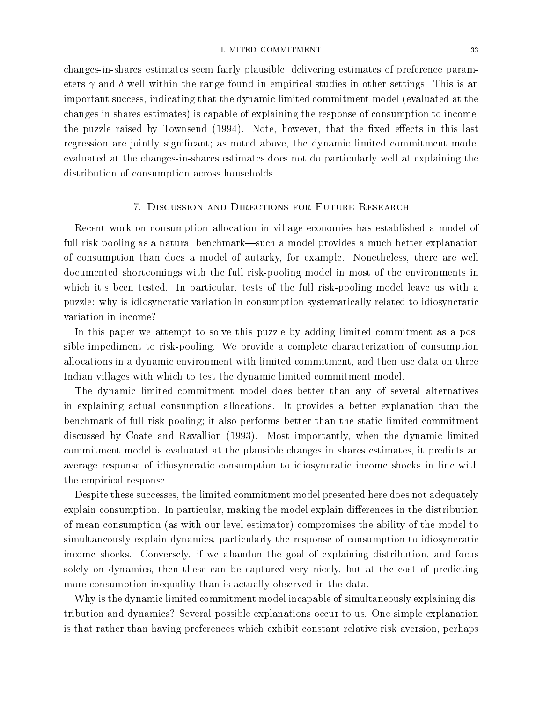changes-in-shares estimates seem fairly plausible, delivering estimates of preference parameters  $\gamma$  and  $\delta$  well within the range found in empirical studies in other settings. This is an important success, indicating that the dynamic limited commitment model (evaluated at the changes in shares estimates) is capable of explaining the response of consumption to income, the puzzle raised by Townsend (1994). Note, however, that the fixed effects in this last regression are jointly significant; as noted above, the dynamic limited commitment model evaluated at the changes-in-shares estimates does not do particularly well at explaining the distribution of consumption across households.

## 7. DISCUSSION AND DIRECTIONS FOR FUTURE RESEARCH

Recent work on consumption allocation in village economies has established a model of full risk-pooling as a natural benchmark—such a model provides a much better explanation of consumption than does a model of autarky, for example. Nonetheless, there are well documented shortcomings with the full risk-pooling model in most of the environments in which it's been tested. In particular, tests of the full risk-pooling model leave us with a puzzle: why is idiosyncratic variation in consumption systematically related to idiosyncratic variation in income?

In this paper we attempt to solve this puzzle by adding limited commitment as a possible impediment to risk-pooling. We provide a complete characterization of consumption allocations in a dynamic environment with limited commitment, and then use data on three Indian villages with which to test the dynamic limited commitment model.

The dynamic limited commitment model does better than any of several alternatives in explaining actual consumption allocations. It provides a better explanation than the benchmark of full risk-pooling; it also performs better than the static limited commitment discussed by Coate and Ravallion (1993). Most importantly, when the dynamic limited commitment model is evaluated at the plausible changes in shares estimates, it predicts an average response of idiosyncratic consumption to idiosyncratic income shocks in line with the empirical response.

Despite these successes, the limited commitment model presented here does not adequately explain consumption. In particular, making the model explain differences in the distribution of mean consumption (as with our level estimator) compromises the ability of the model to simultaneously explain dynamics, particularly the response of consumption to idiosyncratic income shocks. Conversely, if we abandon the goal of explaining distribution, and focus solely on dynamics, then these can be captured very nicely, but at the cost of predicting more consumption inequality than is actually observed in the data.

Why is the dynamic limited commitment model incapable of simultaneously explaining distribution and dynamics? Several possible explanations occur to us. One simple explanation is that rather than having preferences which exhibit constant relative risk aversion, perhaps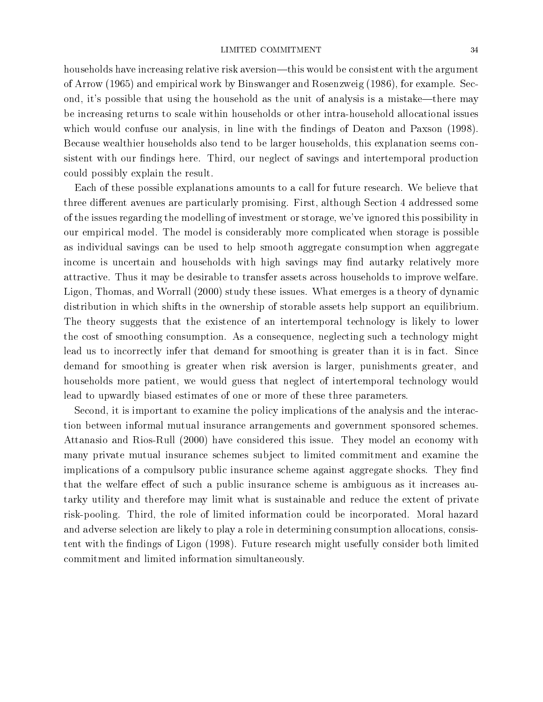households have increasing relative risk aversion—this would be consistent with the argument of Arrow (1965) and empirical work by Binswanger and Rosenzweig (1986), for example. Second, it's possible that using the household as the unit of analysis is a mistake—there may be increasing returns to scale within households or other intra-household allocational issues which would confuse our analysis, in line with the findings of Deaton and Paxson (1998). Because wealthier households also tend to be larger households, this explanation seems consistent with our findings here. Third, our neglect of savings and intertemporal production could possibly explain the result.

Each of these possible explanations amounts to a call for future research. We believe that three different avenues are particularly promising. First, although Section 4 addressed some of the issues regarding the modelling of investment or storage, we've ignored this possibility in our empirical model. The model is considerably more complicated when storage is possible as individual savings can be used to help smooth aggregate consumption when aggregate income is uncertain and households with high savings may find autarky relatively more attractive. Thus it may be desirable to transfer assets across households to improve welfare. Ligon, Thomas, and Worrall (2000) study these issues. What emerges is a theory of dynamic distribution in which shifts in the ownership of storable assets help support an equilibrium. The theory suggests that the existence of an intertemporal technology is likely to lower the cost of smoothing consumption. As a consequence, neglecting such a technology might lead us to incorrectly infer that demand for smoothing is greater than it is in fact. Since demand for smoothing is greater when risk aversion is larger, punishments greater, and households more patient, we would guess that neglect of intertemporal technology would lead to upwardly biased estimates of one or more of these three parameters.

Second, it is important to examine the policy implications of the analysis and the interaction between informal mutual insurance arrangements and government sponsored schemes. Attanasio and Rios-Rull (2000) have considered this issue. They model an economy with many private mutual insurance schemes subject to limited commitment and examine the implications of a compulsory public insurance scheme against aggregate shocks. They find that the welfare effect of such a public insurance scheme is ambiguous as it increases autarky utility and therefore may limit what is sustainable and reduce the extent of private risk-pooling. Third, the role of limited information could be incorporated. Moral hazard and adverse selection are likely to play a role in determining consumption allocations, consistent with the findings of Ligon (1998). Future research might usefully consider both limited commitment and limited information simultaneously.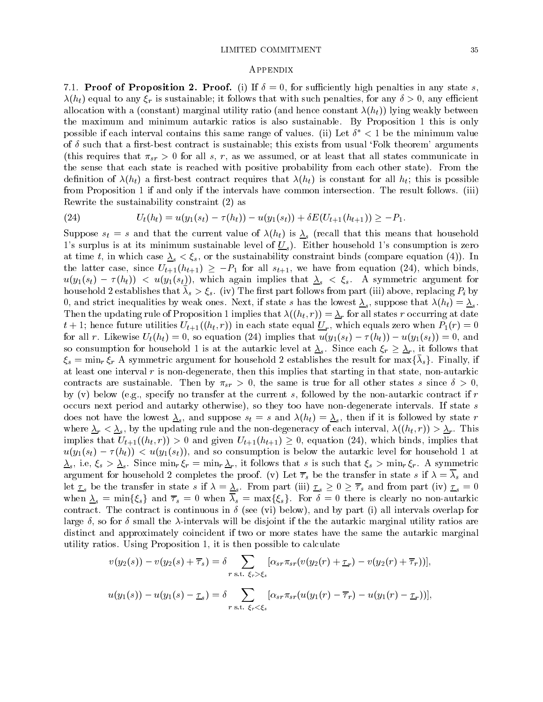## APPENDIX

7.1. Proof of Proposition 2. Proof. (i) If  $\delta = 0$ , for sufficiently high penalties in any state s,  $\lambda(h_t)$  equal to any  $\xi_r$  is sustainable; it follows that with such penalties, for any  $\delta > 0$ , any efficient allocation with a (constant) marginal utility ratio (and hence constant  $\lambda(h_t)$ ) lying weakly between the maximum and minimum autorities is also sustainable. By Proposition 1 this is only possible if each interval contains this same range of values. (ii) Let  $\delta^* < 1$  be the minimum value of  $\delta$  such that a first-best contract is sustainable; this exists from usual 'Folk theorem' arguments (this requires that  $\pi_{sr} > 0$  for all s, r, as we assumed, or at least that all states communicate in the sense that each state is reached with positive probability from each other state). From the definition of  $\lambda(h_t)$  a first-best contract requires that  $\lambda(h_t)$  is constant for all  $h_t$ ; this is possible from Proposition 1 if and only if the intervals have common intersection. The result follows. (iii) Rewrite the sustainability constraint (2) as

(24) 
$$
U_t(h_t) = u(y_1(s_t) - \tau(h_t)) - u(y_1(s_t)) + \delta E(U_{t+1}(h_{t+1})) \geq -P_1
$$

Suppose  $s_t = s$  and that the current value of  $\lambda(h_t)$  is  $\lambda_s$  (recall that this means that household 1's surplus is at its minimum sustainable level of  $U_s$ ). Either household 1's consumption is zero at time t, in which case  $\lambda_s < \xi_s$ , or the sustainability constraint binds (compare equation (4)). In the latter case, since  $U_{t+1}(h_{t+1}) \geq -P_1$  for all  $s_{t+1}$ , we have from equation (24), which binds.  $u(y_1(s_t) - \tau(h_t))$  <  $u(y_1(s_t))$ , which again implies that  $\lambda_s < \xi_s$ . A symmetric argument for household 2 establishes that  $\lambda_s > \xi_s$ . (iv) The first part follows from part (iii) above, replacing  $P_i$  by 0, and strict inequalities by weak ones. Next, if state s has the lowest  $\lambda_{\epsilon}$ , suppose that  $\lambda(h_t) = \lambda_{\epsilon}$ . Then the updating rule of Proposition 1 implies that  $\lambda((h_t, r)) = \lambda_r$  for all states r occurring at date  $t+1$ ; hence future utilities  $U_{t+1}((h_t,r))$  in each state equal  $\underline{U}_r$ , which equals zero when  $P_1(r)=0$ for all r. Likewise  $U_t(h_t) = 0$ , so equation (24) implies that  $u(y_1(s_t) - \tau(h_t)) - u(y_1(s_t)) = 0$ , and so consumption for household 1 is at the autorkic level at  $\lambda_s$ . Since each  $\xi_r \geq \lambda_r$ , it follows that  $\xi_s = \min_r \xi_r$  A symmetric argument for household 2 establishes the result for  $\max\{\lambda_s\}$ . Finally, if at least one interval  $r$  is non-degenerate, then this implies that starting in that state, non-autoric contracts are sustainable. Then by  $\pi_{sr} > 0$ , the same is true for all other states s since  $\delta > 0$ , by (v) below (e.g., specify no transfer at the current s, followed by the non-autoristic contract if r occurs next period and autarky otherwise), so they too have non-degenerate intervals. If state  $s$ does not have the lowest  $\lambda_s$ , and suppose  $s_t = s$  and  $\lambda(h_t) = \lambda_s$ , then if it is followed by state r where  $\Delta_r < \Delta_s$ , by the updating rule and the non-degeneracy of each interval,  $\lambda((h_t, r)) > \Delta_r$ . This implies that  $U_{t+1}((h_t, r)) > 0$  and given  $U_{t+1}(h_{t+1}) \geq 0$ , equation (24), which binds, implies that  $u(y_1(s_t) - \tau(h_t)) < u(y_1(s_t))$ , and so consumption is below the autoric level for household 1 at  $\lambda_s$ , i.e,  $\xi_s > \lambda_s$ . Since min<sub>r</sub>  $\xi_r = \min_r \lambda_r$ , it follows that s is such that  $\xi_s > \min_r \xi_r$ . A symmetric argument for household 2 completes the proof. (v) Let  $\overline{\tau}_s$  be the transfer in state s if  $\lambda = \overline{\lambda}_s$  and let  $\underline{\tau}_s$  be the transfer in state s if  $\lambda = \underline{\lambda}_s$ . From part (iii)  $\underline{\tau}_s \geq 0 \geq \overline{\tau}_s$  and from part (iv)  $\underline{\tau}_s = 0$ when  $\lambda_s = \min\{\xi_s\}$  and  $\overline{\tau}_s = 0$  when  $\overline{\lambda}_s = \max\{\xi_s\}$ . For  $\delta = 0$  there is clearly no non-autoric contract. The contract is continuous in  $\delta$  (see (vi) below), and by part (i) all intervals overlap for large  $\delta$ , so for  $\delta$  small the  $\lambda$ -intervals will be disjoint if the the autoristic marginal utility ratios are distinct and approximately coincident if two or more states have the same the autorition marginal utility ratios. Using Proposition 1, it is then possible to calculate

$$
v(y_2(s)) - v(y_2(s) + \overline{\tau}_s) = \delta \sum_{r \text{ s.t. } \xi_r > \xi_s} [\alpha_{sr} \pi_{sr}(v(y_2(r) + \underline{\tau}_r) - v(y_2(r) + \overline{\tau}_r))],
$$
  

$$
u(y_1(s)) - u(y_1(s) - \underline{\tau}_s) = \delta \sum_{r \text{ s.t. } \xi_r < \xi_s} [\alpha_{sr} \pi_{sr}(u(y_1(r) - \overline{\tau}_r) - u(y_1(r) - \underline{\tau}_r))],
$$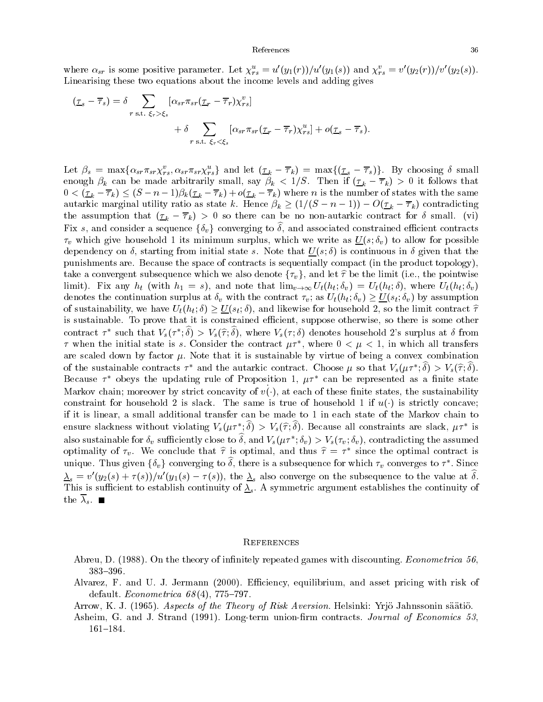#### References

where  $\alpha_{sr}$  is some positive parameter. Let  $\chi_{rs}^u = u'(y_1(r))/u'(y_1(s))$  and  $\chi_{rs}^v = v'(y_2(r))/v'(y_2(s))$ . Linearising these two equations about the income levels and adding gives

$$
(\underline{\tau}_s - \overline{\tau}_s) = \delta \sum_{r \text{ s.t. } \xi_r > \xi_s} [\alpha_{sr} \pi_{sr} (\underline{\tau}_r - \overline{\tau}_r) \chi_{rs}^v] + \delta \sum_{r \text{ s.t. } \xi_r < \xi_s} [\alpha_{sr} \pi_{sr} (\underline{\tau}_r - \overline{\tau}_r) \chi_{rs}^u] + o(\underline{\tau}_s - \overline{\tau}_s).
$$

Let  $\beta_s = \max\{\alpha_{sr}\pi_{sr}\chi_{rs}^v, \alpha_{sr}\pi_{sr}\chi_{rs}^u\}$  and let  $(\underline{\tau}_k - \overline{\tau}_k) = \max\{(\underline{\tau}_s - \overline{\tau}_s)\}.$  By choosing  $\delta$  small enough  $\beta_k$  can be made arbitrarily small, say  $\beta_k$  < 1/S. Then if  $(\tau_k - \overline{\tau}_k) > 0$  it follows that  $0 < (\underline{\tau}_k - \overline{\tau}_k) \le (S - n - 1)\beta_k(\underline{\tau}_k - \overline{\tau}_k) + o(\underline{\tau}_k - \overline{\tau}_k)$  where *n* is the number of states with the same autarkic marginal utility ratio as state k. Hence  $\beta_k \geq (1/(S-n-1)) - O(\underline{\tau}_k - \overline{\tau}_k)$  contradicting the assumption that  $(\underline{\tau}_k - \overline{\tau}_k) > 0$  so there can be no non-autorkic contract for  $\delta$  small. (vi) Fix s, and consider a sequence  $\{\delta_v\}$  converging to  $\hat{\delta}$ , and associated constrained efficient contracts  $\tau_n$  which give household 1 its minimum surplus, which we write as  $U(s; \delta_n)$  to allow for possible dependency on  $\delta$ , starting from initial state s. Note that  $U(s; \delta)$  is continuous in  $\delta$  given that the punishments are. Because the space of contracts is sequentially compact (in the product topology), take a convergent subsequence which we also denote  $\{\tau_v\}$ , and let  $\hat{\tau}$  be the limit (i.e., the pointwise limit). Fix any  $h_t$  (with  $h_1 = s$ ), and note that  $\lim_{v\to\infty} U_t(h_t;\delta_v) = U_t(h_t;\delta)$ , where  $U_t(h_t;\delta_v)$ denotes the continuation surplus at  $\delta_v$  with the contract  $\tau_v$ ; as  $U_t(h_t; \delta_v) \geq U(s_t; \delta_v)$  by assumption of sustainability, we have  $U_t(h_t;\delta) \geq \underline{U}(s_t;\delta)$ , and likewise for household 2, so the limit contract  $\hat{\tau}$ is sustainable. To prove that it is constrained efficient, suppose otherwise, so there is some other contract  $\tau^*$  such that  $V_s(\tau^*;\hat{\delta}) > V_s(\hat{\tau};\hat{\delta})$ , where  $V_s(\tau;\delta)$  denotes household 2's surplus at  $\delta$  from  $\tau$  when the initial state is s. Consider the contract  $\mu \tau^*$ , where  $0 < \mu < 1$ , in which all transfers are scaled down by factor  $\mu$ . Note that it is sustainable by virtue of being a convex combination of the sustainable contracts  $\tau^*$  and the autorrhalic contract. Choose  $\mu$  so that  $V_s(\mu \tau^*; \hat{\delta}) > V_s(\hat{\tau}; \hat{\delta})$ . Because  $\tau^*$  obeys the updating rule of Proposition 1,  $\mu\tau^*$  can be represented as a finite state Markov chain; moreover by strict concavity of  $v(.)$ , at each of these finite states, the sustainability constraint for household 2 is slack. The same is true of household 1 if  $u(\cdot)$  is strictly concave; if it is linear, a small additional transfer can be made to 1 in each state of the Markov chain to ensure slackness without violating  $V_s(\mu \tau^*; \hat{\delta}) > V_s(\hat{\tau}; \hat{\delta})$ . Because all constraints are slack,  $\mu \tau^*$  is also sustainable for  $\delta_v$  sufficiently close to  $\hat{\delta}$ , and  $V_s(\mu \tau^*; \delta_v) > V_s(\tau_v; \delta_v)$ , contradicting the unique. Thus given  $\{\delta_v\}$  converging to  $\hat{\delta}$ , there is a subsequence for which  $\tau_v$  converges to  $\tau^*$ . Since  $\underline{\lambda}_s = v'(y_2(s) + \tau(s))/u'(y_1(s) - \tau(s)),$  the  $\underline{\lambda}_s$  also converge on the subsequence to the value at  $\widehat{\delta}$ . This is sufficient to establish continuity of  $\lambda_s$ . A symmetric argument establishes the continuity of the  $\overline{\lambda}_s$ .

#### REFERENCES

- Abreu, D. (1988). On the theory of infinitely repeated games with discounting. *Econometrica* 56,  $383 - 396.$
- Alvarez, F. and U. J. Jermann (2000). Efficiency, equilibrium, and asset pricing with risk of default. *Econometrica*  $68(4)$ , 775-797.
- Arrow, K. J. (1965). Aspects of the Theory of Risk Aversion. Helsinki: Yrjö Jahnssonin säätiö.
- Asheim, G. and J. Strand (1991). Long-term union-firm contracts. Journal of Economics 53,  $161 - 184.$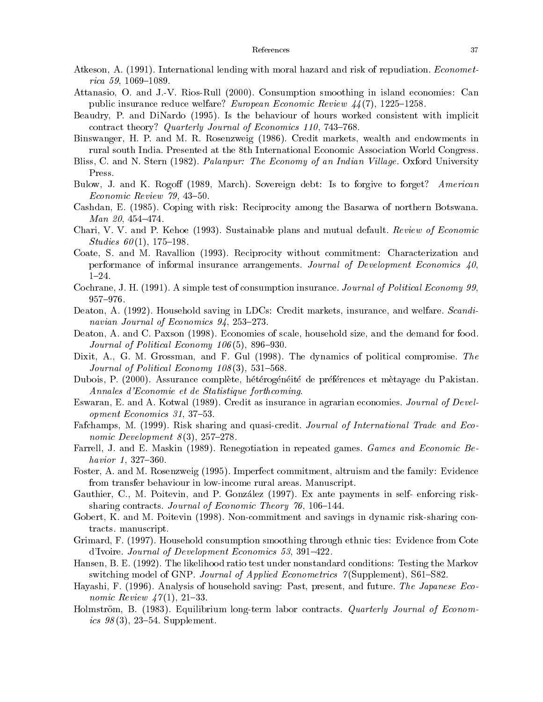- Atkeson, A. (1991). International lending with moral hazard and risk of repudiation. *Economet* $rica 59, 1069-1089.$
- Attanasio, O. and J.-V. Rios-Rull (2000). Consumption smoothing in island economies: Can public insurance reduce welfare? European Economic Review  $44(7)$ , 1225–1258.
- Beaudry, P. and DiNardo (1995). Is the behaviour of hours worked consistent with implicit contract theory? Quarterly Journal of Economics 110, 743-768.
- Binswanger, H. P. and M. R. Rosenzweig (1986). Credit markets, wealth and endowments in rural south India. Presented at the 8th International Economic Association World Congress.
- Bliss, C. and N. Stern (1982). Palanpur: The Economy of an Indian Village. Oxford University Press.
- Bulow, J. and K. Rogoff (1989, March). Sovereign debt: Is to forgive to forget? American Economic Review 79, 43-50.
- Cashdan, E. (1985). Coping with risk: Reciprocity among the Basarwa of northern Botswana. Man  $20, 454-474.$
- Chari, V. V. and P. Kehoe (1993). Sustainable plans and mutual default. Review of Economic *Studies*  $60(1)$ , 175-198.
- Coate, S. and M. Ravallion (1993). Reciprocity without commitment: Characterization and performance of informal insurance arrangements. Journal of Development Economics  $40$ ,  $1 - 24.$
- Cochrane, J. H. (1991). A simple test of consumption insurance. Journal of Political Economy 99, 957-976.
- Deaton, A. (1992). Household saving in LDCs: Credit markets, insurance, and welfare. Scandinavian Journal of Economics 94, 253-273.
- Deaton, A. and C. Paxson (1998). Economies of scale, household size, and the demand for food. Journal of Political Economy 106(5), 896-930.
- Dixit, A., G. M. Grossman, and F. Gul (1998). The dynamics of political compromise. The Journal of Political Economy  $108(3)$ , 531-568.
- Dubois, P. (2000). Assurance complète, hétérogénéité de préférences et mètayage du Pakistan. Annales d'Economie et de Statistique forthcoming.
- Eswaran, E. and A. Kotwal (1989). Credit as insurance in agrarian economies. Journal of Development Economics 31, 37-53.
- Fafchamps, M. (1999). Risk sharing and quasi-credit. Journal of International Trade and Economic Development  $8(3)$ , 257-278.
- Farrell, J. and E. Maskin (1989). Renegotiation in repeated games. Games and Economic Be*havior* 1, 327-360.
- Foster, A. and M. Rosenzweig (1995). Imperfect commitment, altruism and the family: Evidence from transfer behaviour in low-income rural areas. Manuscript.
- Gauthier, C., M. Poitevin, and P. González (1997). Ex ante payments in self- enforcing risksharing contracts. Journal of Economic Theory 76, 106-144.
- Gobert, K. and M. Poitevin (1998). Non-commitment and savings in dynamic risk-sharing contracts. manuscript.
- Grimard, F. (1997). Household consumption smoothing through ethnic ties: Evidence from Cote d'Ivoire. Journal of Development Economics 53, 391-422.
- Hansen, B. E. (1992). The likelihood ratio test under nonstandard conditions: Testing the Markov switching model of GNP. Journal of Applied Econometrics 7(Supplement), S61–S82.
- Hayashi, F. (1996). Analysis of household saving: Past, present, and future. The Japanese Eco*nomic Review 47(1), 21-33.*
- Holmström, B. (1983). Equilibrium long-term labor contracts. Quarterly Journal of Economics  $98(3)$ , 23-54. Supplement.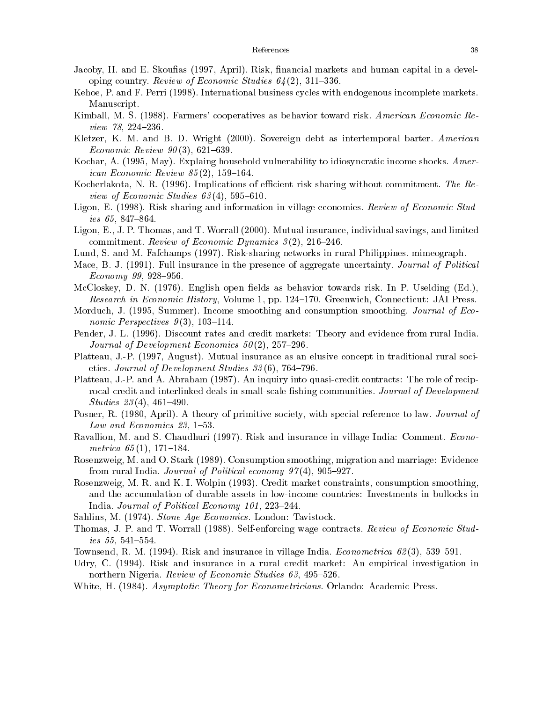- Jacoby, H. and E. Skoufias (1997, April). Risk, financial markets and human capital in a developing country. Review of Economic Studies  $64(2)$ , 311–336.
- Kehoe, P. and F. Perri (1998). International business cycles with endogenous incomplete markets. Manuscript.
- Kimball, M. S. (1988). Farmers' cooperatives as behavior toward risk. American Economic Review 78, 224-236.
- Kletzer, K. M. and B. D. Wright (2000). Sovereign debt as intertemporal barter. American *Economic Review 90*(3), 621-639.
- Kochar, A. (1995, May). Explaing household vulnerability to idiosyncratic income shocks. Amer*ican Economic Review 85*(2), 159-164.
- Kocherlakota, N. R. (1996). Implications of efficient risk sharing without commitment. The Review of Economic Studies  $63(4)$ , 595-610.
- Ligon, E. (1998). Risk-sharing and information in village economies. Review of Economic Stud $ies 65, 847 - 864.$
- Ligon, E., J. P. Thomas, and T. Worrall (2000). Mutual insurance, individual savings, and limited commitment. Review of Economic Dynamics  $3(2)$ , 216-246.
- Lund, S. and M. Fafchamps (1997). Risk-sharing networks in rural Philippines. mimeograph.
- Mace, B. J. (1991). Full insurance in the presence of aggregate uncertainty. Journal of Political Economy 99, 928-956.
- McCloskey, D. N. (1976). English open fields as behavior towards risk. In P. Uselding (Ed.), *Research in Economic History*, Volume 1, pp. 124–170. Greenwich, Connecticut: JAI Press.
- Morduch, J. (1995, Summer). Income smoothing and consumption smoothing. Journal of Economic Perspectives  $9(3)$ , 103-114.
- Pender, J. L. (1996). Discount rates and credit markets: Theory and evidence from rural India. Journal of Development Economics  $50(2)$ , 257-296.
- Platteau, J.-P. (1997, August). Mutual insurance as an elusive concept in traditional rural societies. Journal of Development Studies 33(6), 764-796.
- Platteau, J.-P. and A. Abraham (1987). An inquiry into quasi-credit contracts: The role of reciprocal credit and interlinked deals in small-scale fishing communities. Journal of Development *Studies* 23(4), 461-490.
- Posner, R. (1980, April). A theory of primitive society, with special reference to law. Journal of Law and Economics 23,  $1-53$ .
- Ravallion, M. and S. Chaudhuri (1997). Risk and insurance in village India: Comment. *Econo*metrica  $65(1)$ , 171-184.
- Rosenzweig, M. and O. Stark (1989). Consumption smoothing, migration and marriage: Evidence from rural India. Journal of Political economy  $97(4)$ , 905-927.
- Rosenzweig, M. R. and K. I. Wolpin (1993). Credit market constraints, consumption smoothing. and the accumulation of durable assets in low-income countries: Investments in bullocks in India. Journal of Political Economy 101, 223-244.

Sahlins, M. (1974). *Stone Age Economics*. London: Tavistock.

- Thomas, J. P. and T. Worrall (1988). Self-enforcing wage contracts. Review of Economic Studies 55, 541-554.
- Townsend, R. M. (1994). Risk and insurance in village India. *Econometrica 62(3)*, 539–591.
- Udry, C. (1994). Risk and insurance in a rural credit market: An empirical investigation in northern Nigeria. Review of Economic Studies 63, 495-526.
- White, H. (1984). Asymptotic Theory for Econometricians. Orlando: Academic Press.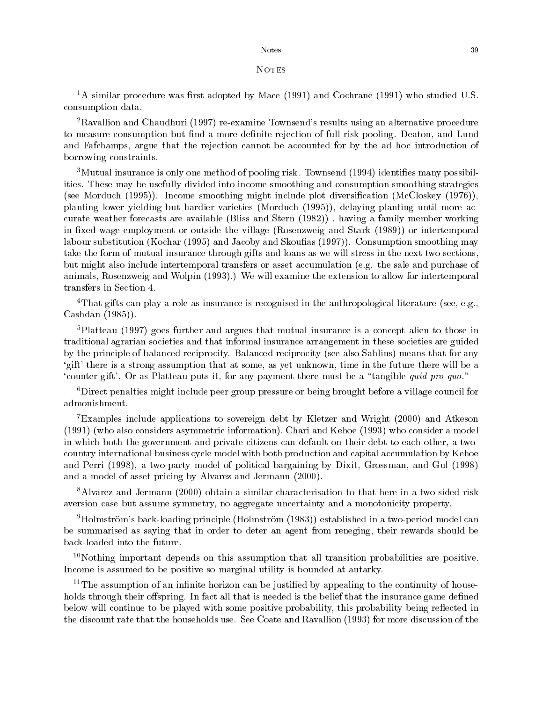#### **NOTES**

<sup>1</sup>A similar procedure was first adopted by Mace (1991) and Cochrane (1991) who studied U.S. consumption data.

<sup>2</sup>Ravallion and Chaudhuri (1997) re-examine Townsend's results using an alternative procedure to measure consumption but find a more definite rejection of full risk-pooling. Deaton, and Lund and Fafchamps, argue that the rejection cannot be accounted for by the ad hoc introduction of borrowing constraints.

<sup>3</sup>Mutual insurance is only one method of pooling risk. Townsend (1994) identifies many possibilities. These may be usefully divided into income smoothing and consumption smoothing strategies (see Morduch  $(1995)$ ). Income smoothing might include plot diversification (McCloskey  $(1976)$ ), planting lower yielding but hardier varieties (Morduch (1995)), delaying planting until more accurate weather forecasts are available (Bliss and Stern (1982)), having a family member working in fixed wage employment or outside the village (Rosenzweig and Stark (1989)) or intertemporal labour substitution (Kochar (1995) and Jacoby and Skoufias (1997)). Consumption smoothing may take the form of mutual insurance through gifts and loans as we will stress in the next two sections, but might also include intertemporal transfers or asset accumulation (e.g. the sale and purchase of animals, Rosenzweig and Wolpin (1993).) We will examine the extension to allow for intertemporal transfers in Section 4.

<sup>4</sup>That gifts can play a role as insurance is recognised in the anthropological literature (see, e.g., Cashdan  $(1985)$ ).

 ${}^{5}$ Platteau (1997) goes further and argues that mutual insurance is a concept alien to those in traditional agrarian societies and that informal insurance arrangement in these societies are guided by the principle of balanced reciprocity. Balanced reciprocity (see also Sahlins) means that for any 'gift' there is a strong assumption that at some, as yet unknown, time in the future there will be a 'counter-gift'. Or as Platteau puts it, for any payment there must be a "tangible *quid pro quo*."

 ${}^6$ Direct penalties might include peer group pressure or being brought before a village council for admonishment.

<sup>7</sup>Examples include applications to sovereign debt by Kletzer and Wright (2000) and Atkeson (1991) (who also considers asymmetric information), Chari and Kehoe (1993) who consider a model in which both the government and private citizens can default on their debt to each other, a twocountry international business cycle model with both production and capital accumulation by Kehoe and Perri (1998), a two-party model of political bargaining by Dixit, Grossman, and Gul (1998) and a model of asset pricing by Alvarez and Jermann (2000).

<sup>8</sup>Alvarez and Jermann (2000) obtain a similar characterisation to that here in a two-sided risk aversion case but assume symmetry, no aggregate uncertainty and a monotonicity property.

 $^{9}$ Holmström's back-loading principle (Holmström (1983)) established in a two-period model can be summarised as saying that in order to deter an agent from reneging, their rewards should be back-loaded into the future.

 $10$ Nothing important depends on this assumption that all transition probabilities are positive. Income is assumed to be positive so marginal utility is bounded at autarky.

 $11$ The assumption of an infinite horizon can be justified by appealing to the continuity of house holds through their offspring. In fact all that is needed is the belief that the insurance game defined below will continue to be played with some positive probability, this probability being reflected in the discount rate that the households use. See Coate and Ravallion (1993) for more discussion of the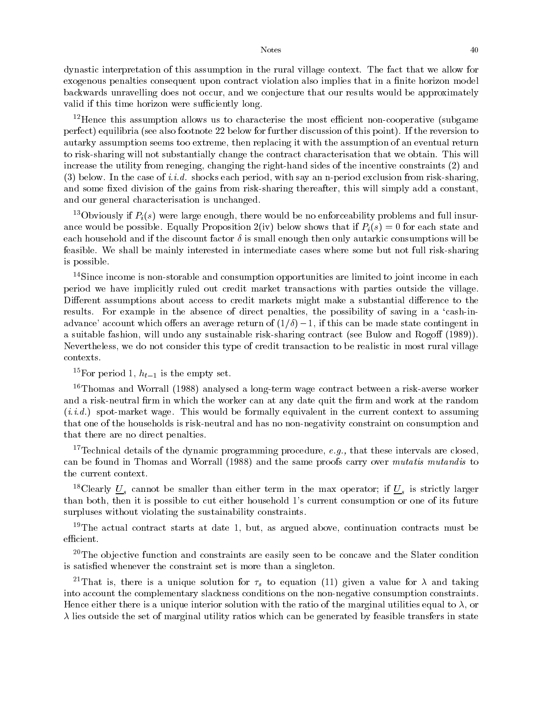dynastic interpretation of this assumption in the rural village context. The fact that we allow for exogenous penalties consequent upon contract violation also implies that in a finite horizon model backwards unravelling does not occur, and we conjecture that our results would be approximately valid if this time horizon were sufficiently long.

 $12$ Hence this assumption allows us to characterise the most efficient non-cooperative (subgame perfect) equilibria (see also footnote 22 below for further discussion of this point). If the reversion to autarky assumption seems too extreme, then replacing it with the assumption of an eventual return to risk-sharing will not substantially change the contract characterisation that we obtain. This will increase the utility from reneging, changing the right-hand sides of the incentive constraints (2) and  $(3)$  below. In the case of *i.i.d.* shocks each period, with say an n-period exclusion from risk-sharing and some fixed division of the gains from risk-sharing thereafter, this will simply add a constant, and our general characterisation is unchanged.

<sup>13</sup>Obviously if  $P_i(s)$  were large enough, there would be no enforceability problems and full insurance would be possible. Equally Proposition 2(iv) below shows that if  $P_i(s) = 0$  for each state and each household and if the discount factor  $\delta$  is small enough then only autorities consumptions will be feasible. We shall be mainly interested in intermediate cases where some but not full risk-sharing is possible.

 $14$ Since income is non-storable and consumption opportunities are limited to joint income in each period we have implicitly ruled out credit market transactions with parties outside the village. Different assumptions about access to credit markets might make a substantial difference to the results. For example in the absence of direct penalties, the possibility of saving in a 'cash-inadvance' account which offers an average return of  $(1/\delta) - 1$ , if this can be made state contingent in a suitable fashion, will undo any sustainable risk-sharing contract (see Bulow and Rogoff (1989)). Nevertheless, we do not consider this type of credit transaction to be realistic in most rural village contexts.

<sup>15</sup>For period 1,  $h_{t-1}$  is the empty set.

 $16$ Thomas and Worrall (1988) analysed a long-term wage contract between a risk-averse worker and a risk-neutral firm in which the worker can at any date quit the firm and work at the random  $(i.i.d.)$  spot-market wage. This would be formally equivalent in the current context to assuming that one of the households is risk-neutral and has no non-negativity constraint on consumption and that there are no direct penalties.

<sup>17</sup>Technical details of the dynamic programming procedure, *e.g.*, that these intervals are closed, can be found in Thomas and Worrall (1988) and the same proofs carry over *mutatis mutandis* to the current context.

<sup>18</sup>Clearly  $U_s$  cannot be smaller than either term in the max operator; if  $U_s$  is strictly larger than both, then it is possible to cut either household 1's current consumption or one of its future surpluses without violating the sustainability constraints.

<sup>19</sup>The actual contract starts at date 1, but, as argued above, continuation contracts must be efficient.

<sup>20</sup>The objective function and constraints are easily seen to be concave and the Slater condition is satisfied whenever the constraint set is more than a singleton.

<sup>21</sup>That is, there is a unique solution for  $\tau_s$  to equation (11) given a value for  $\lambda$  and taking into account the complementary slackness conditions on the non-negative consumption constraints. Hence either there is a unique interior solution with the ratio of the marginal utilities equal to  $\lambda$ , or  $\lambda$  lies outside the set of marginal utility ratios which can be generated by feasible transfers in state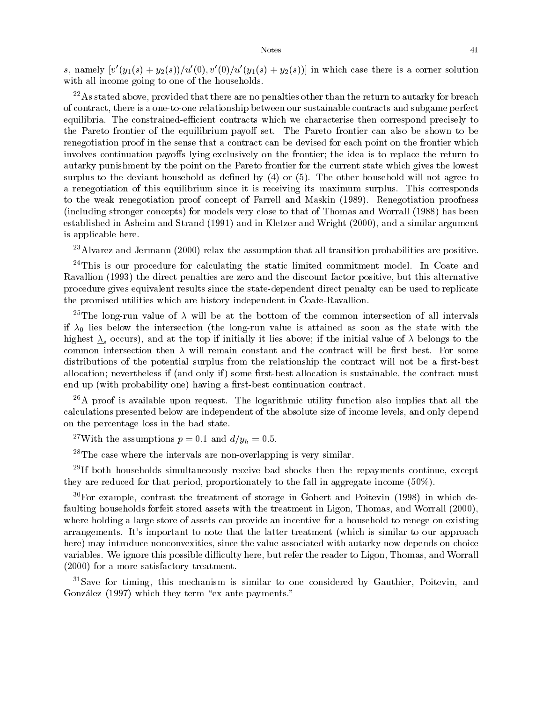s, namely  $[v'(y_1(s) + y_2(s))/u'(0), v'(0)/u'(y_1(s) + y_2(s))]$  in which case there is a corner solution with all income going to one of the households.

 $22\text{As stated above, provided that there are no penalties other than the return to autarky for breach.}$ of contract, there is a one-to-one relationship between our sustainable contracts and subgame perfect equilibria. The constrained-efficient contracts which we characterise then correspond precisely to the Pareto frontier of the equilibrium payoff set. The Pareto frontier can also be shown to be renegotiation proof in the sense that a contract can be devised for each point on the frontier which involves continuation payoffs lying exclusively on the frontier; the idea is to replace the return to autarky punishment by the point on the Pareto frontier for the current state which gives the lowest surplus to the deviant household as defined by  $(4)$  or  $(5)$ . The other household will not agree to a renegotiation of this equilibrium since it is receiving its maximum surplus. This corresponds to the weak renegotiation proof concept of Farrell and Maskin (1989). Renegotiation proofness (including stronger concepts) for models very close to that of Thomas and Worrall (1988) has been established in Asheim and Strand (1991) and in Kletzer and Wright (2000), and a similar argument is applicable here.

 $^{23}$ Alvarez and Jermann (2000) relax the assumption that all transition probabilities are positive.

 $24$ This is our procedure for calculating the static limited commitment model. In Coate and Ravallion (1993) the direct penalties are zero and the discount factor positive, but this alternative procedure gives equivalent results since the state-dependent direct penalty can be used to replicate the promised utilities which are history independent in Coate-Ravallion.

<sup>25</sup>The long-run value of  $\lambda$  will be at the bottom of the common intersection of all intervals if  $\lambda_0$  lies below the intersection (the long-run value is attained as soon as the state with the highest  $\lambda_s$  occurs), and at the top if initially it lies above; if the initial value of  $\lambda$  belongs to the common intersection then  $\lambda$  will remain constant and the contract will be first best. For some distributions of the potential surplus from the relationship the contract will not be a first-best allocation; nevertheless if (and only if) some first-best allocation is sustainable, the contract must end up (with probability one) having a first-best continuation contract.

 $^{26}$ A proof is available upon request. The logarithmic utility function also implies that all the calculations presented below are independent of the absolute size of income levels, and only depend on the percentage loss in the bad state.

<sup>27</sup>With the assumptions  $p = 0.1$  and  $d/y_h = 0.5$ .

 $^{28}$ The case where the intervals are non-overlapping is very similar.

 $^{29}$ If both households simultaneously receive bad shocks then the repayments continue, except they are reduced for that period, proportionately to the fall in aggregate income  $(50\%)$ .

 $30$  For example, contrast the treatment of storage in Gobert and Poitevin (1998) in which defaulting households forfeit stored assets with the treatment in Ligon, Thomas, and Worrall (2000), where holding a large store of assets can provide an incentive for a household to renege on existing arrangements. It's important to note that the latter treatment (which is similar to our approach here) may introduce nonconvexities, since the value associated with autarky now depends on choice variables. We ignore this possible difficulty here, but refer the reader to Ligon, Thomas, and Worrall  $(2000)$  for a more satisfactory treatment.

 $31$ Save for timing, this mechanism is similar to one considered by Gauthier, Poitevin, and González (1997) which they term "ex ante payments."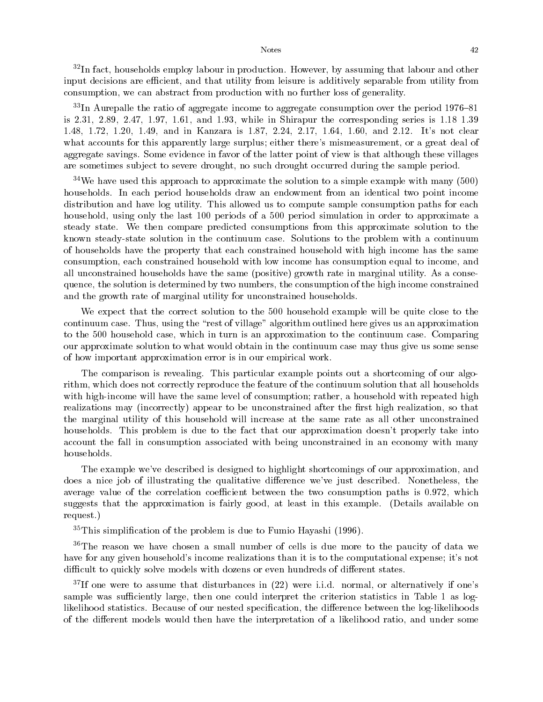$32$ In fact, households employ labour in production. However, by assuming that labour and other input decisions are efficient, and that utility from leisure is additively separable from utility from consumption, we can abstract from production with no further loss of generality.

 $33\,\mathrm{In}$  Aurepalle the ratio of aggregate income to aggregate consumption over the period 1976–81 is 2.31, 2.89, 2.47, 1.97, 1.61, and 1.93, while in Shirapur the corresponding series is 1.18 1.39 1.48, 1.72, 1.20, 1.49, and in Kanzara is 1.87, 2.24, 2.17, 1.64, 1.60, and 2.12. It's not clear what accounts for this apparently large surplus; either there's mismeasurement, or a great deal of aggregate savings. Some evidence in favor of the latter point of view is that although these villages are sometimes subject to severe drought, no such drought occurred during the sample period.

<sup>34</sup>We have used this approach to approximate the solution to a simple example with many (500) households. In each period households draw an endowment from an identical two point income distribution and have log utility. This allowed us to compute sample consumption paths for each household, using only the last 100 periods of a 500 period simulation in order to approximate a steady state. We then compare predicted consumptions from this approximate solution to the known steady-state solution in the continuum case. Solutions to the problem with a continuum of households have the property that each constrained household with high income has the same consumption, each constrained household with low income has consumption equal to income, and all unconstrained households have the same (positive) growth rate in marginal utility. As a consequence, the solution is determined by two numbers, the consumption of the high income constrained and the growth rate of marginal utility for unconstrained households.

We expect that the correct solution to the 500 household example will be quite close to the continuum case. Thus, using the "rest of village" algorithm outlined here gives us an approximation to the 500 household case, which in turn is an approximation to the continuum case. Comparing our approximate solution to what would obtain in the continuum case may thus give us some sense of how important approximation error is in our empirical work.

The comparison is revealing. This particular example points out a shortcoming of our algorithm, which does not correctly reproduce the feature of the continuum solution that all households with high-income will have the same level of consumption; rather, a household with repeated high realizations may (incorrectly) appear to be unconstrained after the first high realization, so that the marginal utility of this household will increase at the same rate as all other unconstrained households. This problem is due to the fact that our approximation doesn't properly take into account the fall in consumption associated with being unconstrained in an economy with many households.

The example we've described is designed to highlight shortcomings of our approximation, and does a nice job of illustrating the qualitative difference we've just described. Nonetheless, the average value of the correlation coefficient between the two consumption paths is 0.972, which suggests that the approximation is fairly good, at least in this example. (Details available on request.)

 $35$ This simplification of the problem is due to Fumio Hayashi (1996).

 $36$ The reason we have chosen a small number of cells is due more to the paucity of data we have for any given household's income realizations than it is to the computational expense; it's not difficult to quickly solve models with dozens or even hundreds of different states.

 $37$ If one were to assume that disturbances in (22) were i.i.d. normal, or alternatively if one's sample was sufficiently large, then one could interpret the criterion statistics in Table 1 as loglikelihood statistics. Because of our nested specification, the difference between the log-likelihoods of the different models would then have the interpretation of a likelihood ratio, and under some